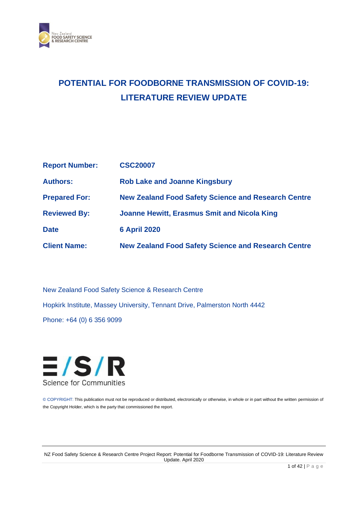

# **POTENTIAL FOR FOODBORNE TRANSMISSION OF COVID-19: LITERATURE REVIEW UPDATE**

| <b>Report Number:</b> | <b>CSC20007</b>                                            |
|-----------------------|------------------------------------------------------------|
| <b>Authors:</b>       | <b>Rob Lake and Joanne Kingsbury</b>                       |
| <b>Prepared For:</b>  | <b>New Zealand Food Safety Science and Research Centre</b> |
| <b>Reviewed By:</b>   | <b>Joanne Hewitt, Erasmus Smit and Nicola King</b>         |
| <b>Date</b>           | <b>6 April 2020</b>                                        |
| <b>Client Name:</b>   | <b>New Zealand Food Safety Science and Research Centre</b> |

New Zealand Food Safety Science & Research Centre Hopkirk Institute, Massey University, Tennant Drive, Palmerston North 4442 Phone: +64 (0) 6 356 9099



© COPYRIGHT: This publication must not be reproduced or distributed, electronically or otherwise, in whole or in part without the written permission of the Copyright Holder, which is the party that commissioned the report.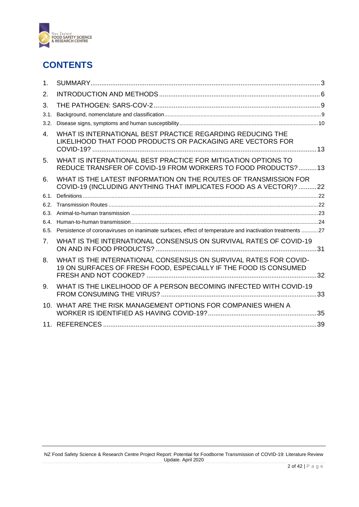

## **CONTENTS**

| 1 <sub>1</sub>  |                                                                                                                                        |  |
|-----------------|----------------------------------------------------------------------------------------------------------------------------------------|--|
| 2.              |                                                                                                                                        |  |
| 3.              |                                                                                                                                        |  |
| 3.1.            |                                                                                                                                        |  |
| 3.2.            |                                                                                                                                        |  |
| 4.              | WHAT IS INTERNATIONAL BEST PRACTICE REGARDING REDUCING THE<br>LIKELIHOOD THAT FOOD PRODUCTS OR PACKAGING ARE VECTORS FOR               |  |
| 5.              | WHAT IS INTERNATIONAL BEST PRACTICE FOR MITIGATION OPTIONS TO<br>REDUCE TRANSFER OF COVID-19 FROM WORKERS TO FOOD PRODUCTS?  13        |  |
| 6.              | WHAT IS THE LATEST INFORMATION ON THE ROUTES OF TRANSMISSION FOR<br>COVID-19 (INCLUDING ANYTHING THAT IMPLICATES FOOD AS A VECTOR)? 22 |  |
| 6.1.            |                                                                                                                                        |  |
| 6.2.            |                                                                                                                                        |  |
| 6.3.            |                                                                                                                                        |  |
| 6.4.            |                                                                                                                                        |  |
| 6.5.            | Persistence of coronaviruses on inanimate surfaces, effect of temperature and inactivation treatments 27                               |  |
| 7.              | WHAT IS THE INTERNATIONAL CONSENSUS ON SURVIVAL RATES OF COVID-19                                                                      |  |
| 8.              | WHAT IS THE INTERNATIONAL CONSENSUS ON SURVIVAL RATES FOR COVID-<br>19 ON SURFACES OF FRESH FOOD, ESPECIALLY IF THE FOOD IS CONSUMED   |  |
| 9.              | WHAT IS THE LIKELIHOOD OF A PERSON BECOMING INFECTED WITH COVID-19                                                                     |  |
| 10 <sup>1</sup> | WHAT ARE THE RISK MANAGEMENT OPTIONS FOR COMPANIES WHEN A                                                                              |  |
|                 |                                                                                                                                        |  |
|                 |                                                                                                                                        |  |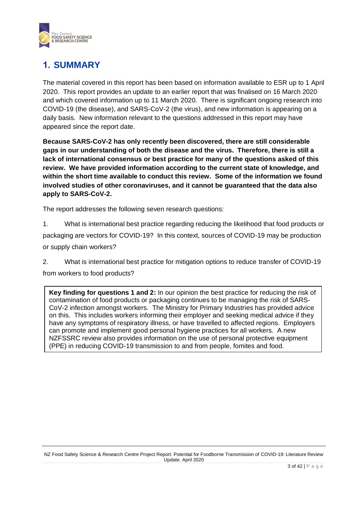

## <span id="page-2-0"></span>**1. SUMMARY**

The material covered in this report has been based on information available to ESR up to 1 April 2020. This report provides an update to an earlier report that was finalised on 16 March 2020 and which covered information up to 11 March 2020. There is significant ongoing research into COVID-19 (the disease), and SARS-CoV-2 (the virus), and new information is appearing on a daily basis. New information relevant to the questions addressed in this report may have appeared since the report date.

**Because SARS-CoV-2 has only recently been discovered, there are still considerable gaps in our understanding of both the disease and the virus. Therefore, there is still a lack of international consensus or best practice for many of the questions asked of this review. We have provided information according to the current state of knowledge, and within the short time available to conduct this review. Some of the information we found involved studies of other coronaviruses, and it cannot be guaranteed that the data also apply to SARS-CoV-2.**

The report addresses the following seven research questions:

1. What is international best practice regarding reducing the likelihood that food products or packaging are vectors for COVID-19? In this context, sources of COVID-19 may be production or supply chain workers?

2. What is international best practice for mitigation options to reduce transfer of COVID-19 from workers to food products?

**Key finding for questions 1 and 2:** In our opinion the best practice for reducing the risk of contamination of food products or packaging continues to be managing the risk of SARS-CoV-2 infection amongst workers. The Ministry for Primary Industries has provided advice on this. This includes workers informing their employer and seeking medical advice if they have any symptoms of respiratory illness, or have travelled to affected regions. Employers can promote and implement good personal hygiene practices for all workers. A new NZFSSRC review also provides information on the use of personal protective equipment (PPE) in reducing COVID-19 transmission to and from people, fomites and food.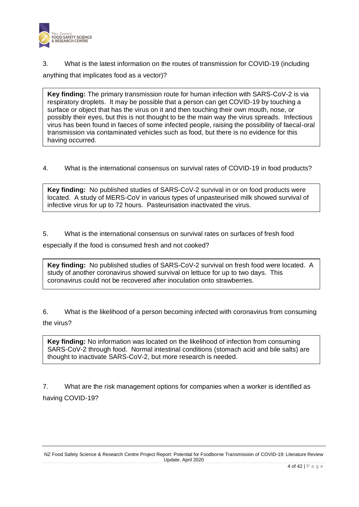

3. What is the latest information on the routes of transmission for COVID-19 (including anything that implicates food as a vector)?

**Key finding:** The primary transmission route for human infection with SARS-CoV-2 is via respiratory droplets. It may be possible that a person can get COVID-19 by touching a surface or object that has the virus on it and then touching their own mouth, nose, or possibly their eyes, but this is not thought to be the main way the virus spreads. Infectious virus has been found in faeces of some infected people, raising the possibility of faecal-oral transmission via contaminated vehicles such as food, but there is no evidence for this having occurred.

4. What is the international consensus on survival rates of COVID-19 in food products?

**Key finding:** No published studies of SARS-CoV-2 survival in or on food products were located. A study of MERS-CoV in various types of unpasteurised milk showed survival of infective virus for up to 72 hours. Pasteurisation inactivated the virus.

5. What is the international consensus on survival rates on surfaces of fresh food

especially if the food is consumed fresh and not cooked?

**Key finding:** No published studies of SARS-CoV-2 survival on fresh food were located. A study of another coronavirus showed survival on lettuce for up to two days. This coronavirus could not be recovered after inoculation onto strawberries.

6. What is the likelihood of a person becoming infected with coronavirus from consuming the virus?

**Key finding:** No information was located on the likelihood of infection from consuming SARS-CoV-2 through food. Normal intestinal conditions (stomach acid and bile salts) are thought to inactivate SARS-CoV-2, but more research is needed.

7. What are the risk management options for companies when a worker is identified as having COVID-19?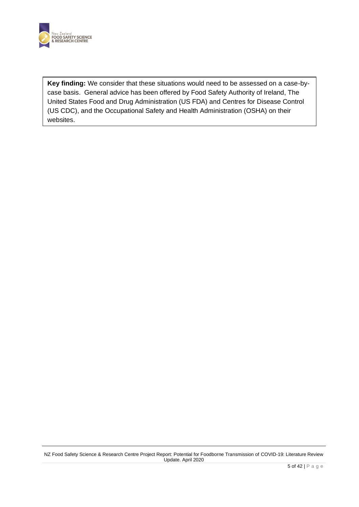

**Key finding:** We consider that these situations would need to be assessed on a case-bycase basis. General advice has been offered by Food Safety Authority of Ireland, The United States Food and Drug Administration (US FDA) and Centres for Disease Control (US CDC), and the Occupational Safety and Health Administration (OSHA) on their websites.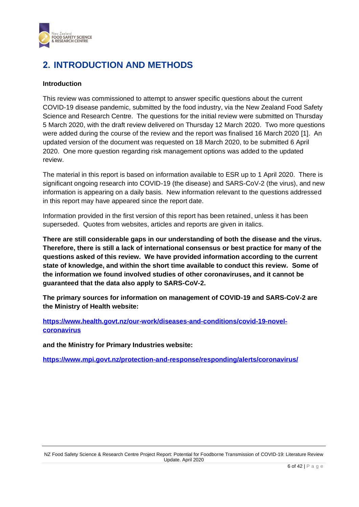

## <span id="page-5-0"></span>**2. INTRODUCTION AND METHODS**

### **Introduction**

This review was commissioned to attempt to answer specific questions about the current COVID-19 disease pandemic, submitted by the food industry, via the New Zealand Food Safety Science and Research Centre. The questions for the initial review were submitted on Thursday 5 March 2020, with the draft review delivered on Thursday 12 March 2020. Two more questions were added during the course of the review and the report was finalised 16 March 2020 [1]. An updated version of the document was requested on 18 March 2020, to be submitted 6 April 2020. One more question regarding risk management options was added to the updated review.

The material in this report is based on information available to ESR up to 1 April 2020. There is significant ongoing research into COVID-19 (the disease) and SARS-CoV-2 (the virus), and new information is appearing on a daily basis. New information relevant to the questions addressed in this report may have appeared since the report date.

Information provided in the first version of this report has been retained, unless it has been superseded. Quotes from websites, articles and reports are given in italics.

**There are still considerable gaps in our understanding of both the disease and the virus. Therefore, there is still a lack of international consensus or best practice for many of the questions asked of this review. We have provided information according to the current state of knowledge, and within the short time available to conduct this review. Some of the information we found involved studies of other coronaviruses, and it cannot be guaranteed that the data also apply to SARS-CoV-2.**

**The primary sources for information on management of COVID-19 and SARS-CoV-2 are the Ministry of Health website:** 

**[https://www.health.govt.nz/our-work/diseases-and-conditions/covid-19-novel](https://www.health.govt.nz/our-work/diseases-and-conditions/covid-19-novel-coronavirus)[coronavirus](https://www.health.govt.nz/our-work/diseases-and-conditions/covid-19-novel-coronavirus)**

**and the Ministry for Primary Industries website:**

**<https://www.mpi.govt.nz/protection-and-response/responding/alerts/coronavirus/>**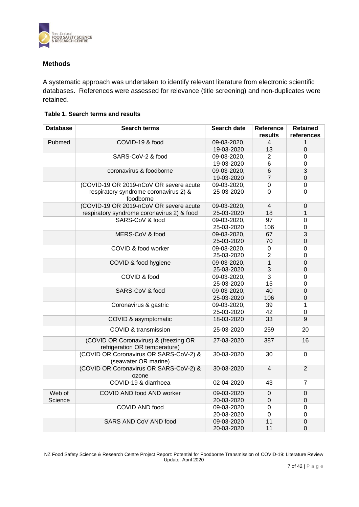

### **Methods**

A systematic approach was undertaken to identify relevant literature from electronic scientific databases. References were assessed for relevance (title screening) and non-duplicates were retained.

#### **Table 1. Search terms and results**

| <b>Database</b>   | <b>Search terms</b>                                                    | Search date               | Reference<br>results | <b>Retained</b><br>references |
|-------------------|------------------------------------------------------------------------|---------------------------|----------------------|-------------------------------|
| Pubmed            | COVID-19 & food                                                        | 09-03-2020,<br>19-03-2020 | 4<br>13              | 1<br>$\overline{0}$           |
|                   | SARS-CoV-2 & food                                                      | 09-03-2020,               | $\overline{2}$       | 0                             |
|                   |                                                                        | 19-03-2020                | 6                    | 0                             |
|                   | coronavirus & foodborne                                                | 09-03-2020,               | 6                    | 3                             |
|                   |                                                                        | 19-03-2020                | $\overline{7}$       | $\mathsf 0$                   |
|                   | (COVID-19 OR 2019-nCoV OR severe acute                                 | 09-03-2020,               | $\pmb{0}$            | 0                             |
|                   | respiratory syndrome coronavirus 2) &<br>foodborne                     | 25-03-2020                | 0                    | 0                             |
|                   | (COVID-19 OR 2019-nCoV OR severe acute                                 | 09-03-2020,               | $\overline{4}$       | 0                             |
|                   | respiratory syndrome coronavirus 2) & food                             | 25-03-2020                | 18                   | 1                             |
|                   | SARS-CoV & food                                                        | 09-03-2020,               | 97                   | 0                             |
|                   |                                                                        | 25-03-2020                | 106                  | 0                             |
|                   | MERS-CoV & food                                                        | 09-03-2020,               | 67                   | $\overline{3}$                |
|                   |                                                                        | 25-03-2020                | 70                   | $\mathbf 0$                   |
|                   | COVID & food worker                                                    | 09-03-2020,               | 0                    | 0                             |
|                   |                                                                        | 25-03-2020                | $\overline{2}$       | 0                             |
|                   | COVID & food hygiene                                                   | 09-03-2020,               | $\mathbf{1}$         | $\overline{0}$                |
|                   | COVID & food                                                           | 25-03-2020                | 3<br>3               | 0                             |
|                   |                                                                        | 09-03-2020,<br>25-03-2020 | 15                   | 0<br>0                        |
|                   | SARS-CoV & food                                                        | 09-03-2020,               | 40                   | $\overline{0}$                |
|                   |                                                                        | 25-03-2020                | 106                  | 0                             |
|                   | Coronavirus & gastric                                                  | 09-03-2020,               | 39                   | 1                             |
|                   |                                                                        | 25-03-2020                | 42                   | 0                             |
|                   | COVID & asymptomatic                                                   | 18-03-2020                | 33                   | 9                             |
|                   | COVID & transmission                                                   | 25-03-2020                | 259                  | 20                            |
|                   | (COVID OR Coronavirus) & (freezing OR<br>refrigeration OR temperature) | 27-03-2020                | 387                  | 16                            |
|                   | (COVID OR Coronavirus OR SARS-CoV-2) &<br>(seawater OR marine)         | 30-03-2020                | 30                   | $\Omega$                      |
|                   | (COVID OR Coronavirus OR SARS-CoV-2) &<br>ozone                        | 30-03-2020                | $\overline{4}$       | $\overline{2}$                |
|                   | COVID-19 & diarrhoea                                                   | 02-04-2020                | 43                   | 7                             |
| Web of<br>Science | COVID AND food AND worker                                              | 09-03-2020<br>20-03-2020  | 0<br>0               | 0<br>0                        |
|                   | COVID AND food                                                         | 09-03-2020                | $\mathbf 0$          | 0                             |
|                   |                                                                        | 20-03-2020                | $\mathbf 0$          | 0                             |
|                   | <b>SARS AND CoV AND food</b>                                           | 09-03-2020                | 11                   | $\boldsymbol{0}$              |
|                   |                                                                        | 20-03-2020                | 11                   | 0                             |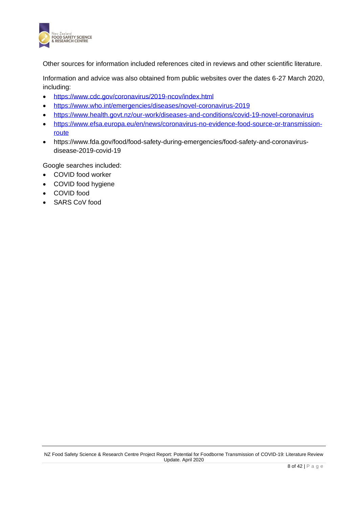

Other sources for information included references cited in reviews and other scientific literature.

Information and advice was also obtained from public websites over the dates 6-27 March 2020, including:

- <https://www.cdc.gov/coronavirus/2019-ncov/index.html>
- <https://www.who.int/emergencies/diseases/novel-coronavirus-2019>
- <https://www.health.govt.nz/our-work/diseases-and-conditions/covid-19-novel-coronavirus>
- [https://www.efsa.europa.eu/en/news/coronavirus-no-evidence-food-source-or-transmission](https://www.efsa.europa.eu/en/news/coronavirus-no-evidence-food-source-or-transmission-route)[route](https://www.efsa.europa.eu/en/news/coronavirus-no-evidence-food-source-or-transmission-route)
- https://www.fda.gov/food/food-safety-during-emergencies/food-safety-and-coronavirusdisease-2019-covid-19

Google searches included:

- COVID food worker
- COVID food hygiene
- COVID food
- SARS CoV food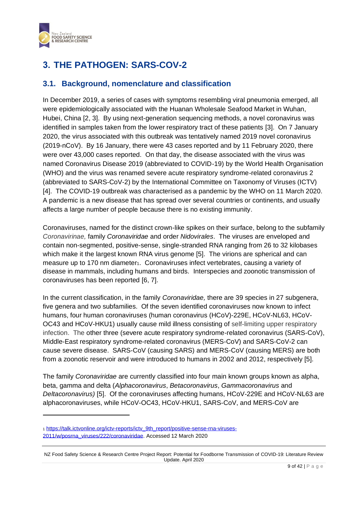

## <span id="page-8-0"></span>**3. THE PATHOGEN: SARS-COV-2**

### <span id="page-8-1"></span>**3.1. Background, nomenclature and classification**

In December 2019, a series of cases with symptoms resembling viral pneumonia emerged, all were epidemiologically associated with the Huanan Wholesale Seafood Market in Wuhan, Hubei, China [2, 3]. By using next-generation sequencing methods, a novel coronavirus was identified in samples taken from the lower respiratory tract of these patients [3]. On 7 January 2020, the virus associated with this outbreak was tentatively named 2019 novel coronavirus (2019-nCoV). By 16 January, there were 43 cases reported and by 11 February 2020, there were over 43,000 cases reported. On that day, the disease associated with the virus was named Coronavirus Disease 2019 (abbreviated to COVID-19) by the World Health Organisation (WHO) and the virus was renamed severe acute respiratory syndrome-related coronavirus 2 (abbreviated to SARS-CoV-2) by the International Committee on Taxonomy of Viruses (ICTV) [4]. The COVID-19 outbreak was characterised as a pandemic by the WHO on 11 March 2020. A pandemic is a new disease that has spread over several countries or continents, and usually affects a large number of people because there is no existing immunity.

Coronaviruses, named for the distinct crown-like spikes on their surface, belong to the subfamily *Coronavirinae,* family *Coronaviridae* and order *Nidovirales*. The viruses are enveloped and contain non-segmented, positive-sense, single-stranded RNA ranging from 26 to 32 kilobases which make it the largest known RNA virus genome [5]. The virions are spherical and can measure up to 170 nm diameter1. Coronaviruses infect vertebrates, causing a variety of disease in mammals, including humans and birds. Interspecies and zoonotic transmission of coronaviruses has been reported [6, 7].

In the current classification, in the family *Coronaviridae,* there are 39 species in 27 subgenera, five genera and two subfamilies. Of the seven identified coronaviruses now known to infect humans, four human coronaviruses (human coronavirus (HCoV)-229E, HCoV-NL63, HCoV-OC43 and HCoV-HKU1) usually cause mild illness consisting of self-limiting upper respiratory infection. The other three (severe acute respiratory syndrome-related coronavirus (SARS-CoV), Middle-East respiratory syndrome-related coronavirus (MERS-CoV) and SARS-CoV-2 can cause severe disease. SARS-CoV (causing SARS) and MERS-CoV (causing MERS) are both from a zoonotic reservoir and were introduced to humans in 2002 and 2012, respectively [5].

The family *Coronaviridae* are currently classified into four main known groups known as alpha, beta, gamma and delta (*Alphacoronavirus*, *Betacoronavirus*, *Gammacoronavirus* and *Deltacoronavirus)* [5]. Of the coronaviruses affecting humans, HCoV-229E and HCoV-NL63 are alphacoronaviruses, while HCoV-OC43, HCoV-HKU1, SARS-CoV, and MERS-CoV are

<sup>1</sup> [https://talk.ictvonline.org/ictv-reports/ictv\\_9th\\_report/positive-sense-rna-viruses-](https://talk.ictvonline.org/ictv-reports/ictv_9th_report/positive-sense-rna-viruses-2011/w/posrna_viruses/222/coronaviridae)[2011/w/posrna\\_viruses/222/coronaviridae.](https://talk.ictvonline.org/ictv-reports/ictv_9th_report/positive-sense-rna-viruses-2011/w/posrna_viruses/222/coronaviridae) Accessed 12 March 2020

NZ Food Safety Science & Research Centre Project Report: Potential for Foodborne Transmission of COVID-19: Literature Review Update. April 2020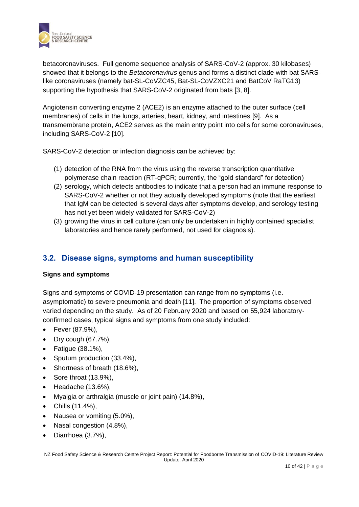

betacoronaviruses. Full genome sequence analysis of SARS-CoV-2 (approx. 30 kilobases) showed that it belongs to the *Betacoronavirus* genus and forms a distinct clade with bat SARSlike coronaviruses (namely bat-SL-CoVZC45, Bat-SL-CoVZXC21 and BatCoV RaTG13) supporting the hypothesis that SARS-CoV-2 originated from bats [3, 8].

Angiotensin converting enzyme 2 (ACE2) is an [enzyme](https://en.wikipedia.org/wiki/Enzyme) attached to the outer surface [\(cell](https://en.wikipedia.org/wiki/Cell_membrane)  [membranes\)](https://en.wikipedia.org/wiki/Cell_membrane) of cells in the lungs, arteries, heart, kidney, and intestines [9]. As a transmembrane protein, ACE2 serves as the main entry point into cells for some [coronaviruses,](https://en.wikipedia.org/wiki/Coronavirus) including [SARS-CoV-2](https://en.wikipedia.org/wiki/SARS-CoV-2) [10].

SARS-CoV-2 detection or infection diagnosis can be achieved by:

- (1) detection of the RNA from the virus using the reverse transcription quantitative polymerase chain reaction (RT-qPCR; currently, the "gold standard" for detection)
- (2) serology, which detects antibodies to indicate that a person had an immune response to SARS-CoV-2 whether or not they actually developed symptoms (note that the earliest that IgM can be detected is several days after symptoms develop, and serology testing has not yet been widely validated for SARS-CoV-2)
- (3) growing the virus in cell culture (can only be undertaken in highly contained specialist laboratories and hence rarely performed, not used for diagnosis).

### <span id="page-9-0"></span>**3.2. Disease signs, symptoms and human susceptibility**

### **Signs and symptoms**

Signs and symptoms of COVID-19 presentation can range from no symptoms (i.e. asymptomatic) to severe pneumonia and death [11]. The proportion of symptoms observed varied depending on the study. As of 20 February 2020 and based on 55,924 laboratoryconfirmed cases, typical signs and symptoms from one study included:

- Fever (87.9%),
- Dry cough (67.7%),
- Fatigue (38.1%),
- Sputum production (33.4%),
- Shortness of breath (18.6%),
- Sore throat (13.9%),
- Headache (13.6%),
- Myalgia or arthralgia (muscle or joint pain) (14.8%),
- Chills (11.4%),
- Nausea or vomiting (5.0%),
- Nasal congestion (4.8%),
- Diarrhoea (3.7%),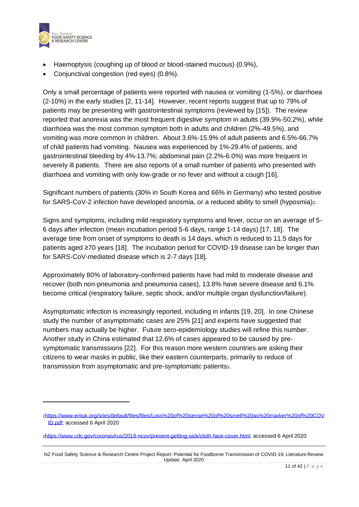

- Haemoptysis (coughing up of blood or blood-stained mucous) (0.9%),
- Conjunctival congestion (red eyes) (0.8%).

Only a small percentage of patients were reported with nausea or vomiting (1-5%), or diarrhoea (2-10%) in the early studies [2, 11-14]. However, recent reports suggest that up to 79% of patients may be presenting with gastrointestinal symptoms (reviewed by [15]). The review reported that anorexia was the most frequent digestive symptom in adults (39.9%-50.2%), while diarrhoea was the most common symptom both in adults and children (2%-49.5%), and vomiting was more common in children. About 3.6%-15.9% of adult patients and 6.5%-66.7% of child patients had vomiting. Nausea was experienced by 1%-29.4% of patients, and gastrointestinal bleeding by 4%-13.7%; abdominal pain (2.2%-6.0%) was more frequent in severely ill patients. There are also reports of a small number of patients who presented with diarrhoea and vomiting with only low-grade or no fever and without a cough [16].

Significant numbers of patients (30% in South Korea and 66% in Germany) who tested positive for SARS-CoV-2 infection have developed anosmia, or a reduced ability to smell (hyposmia)2.

Signs and symptoms, including mild respiratory symptoms and fever, occur on an average of 5- 6 days after infection (mean incubation period 5-6 days, range 1-14 days) [17, 18]. The average time from onset of symptoms to death is 14 days, which is reduced to 11.5 days for patients aged ≥70 years [18]. The incubation period for COVID-19 disease can be longer than for SARS-CoV-mediated disease which is 2-7 days [18].

Approximately 80% of laboratory-confirmed patients have had mild to moderate disease and recover (both non-pneumonia and pneumonia cases), 13.8% have severe disease and 6.1% become critical (respiratory failure, septic shock, and/or multiple organ dysfunction/failure).

Asymptomatic infection is increasingly reported, including in infants [19, 20]. In one Chinese study the number of asymptomatic cases are 25% [21] and experts have suggested that numbers may actually be higher. Future sero-epidemiology studies will refine this number. Another study in China estimated that 12.6% of cases appeared to be caused by presymptomatic transmissions [22]. For this reason more western countries are asking their citizens to wear masks in public, like their eastern counterparts, primarily to reduce of transmission from asymptomatic and pre-symptomatic patients3.

<sup>2</sup>[https://www.entuk.org/sites/default/files/files/Loss%20of%20sense%20of%20smell%20as%20marker%20of%20COV](https://www.entuk.org/sites/default/files/files/Loss%20of%20sense%20of%20smell%20as%20marker%20of%20COVID.pdf) [ID.pdf;](https://www.entuk.org/sites/default/files/files/Loss%20of%20sense%20of%20smell%20as%20marker%20of%20COVID.pdf) accessed 6 April 2020

<sup>3</sup>[https://www.cdc.gov/coronavirus/2019-ncov/prevent-getting-sick/cloth-face-cover.html;](https://www.cdc.gov/coronavirus/2019-ncov/prevent-getting-sick/cloth-face-cover.html) accessed 6 April 2020

NZ Food Safety Science & Research Centre Project Report: Potential for Foodborne Transmission of COVID-19: Literature Review Update. April 2020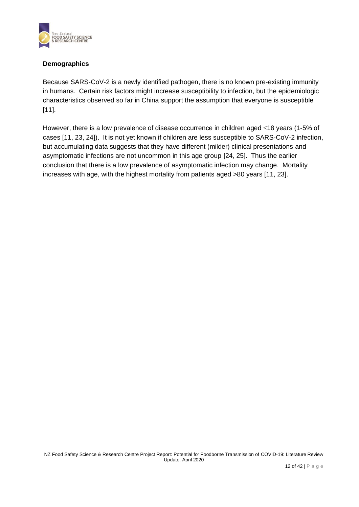

### **Demographics**

Because SARS-CoV-2 is a newly identified pathogen, there is no known pre-existing immunity in humans. Certain risk factors might increase susceptibility to infection, but the epidemiologic characteristics observed so far in China support the assumption that everyone is susceptible [11].

However, there is a low prevalence of disease occurrence in children aged  $\leq$ 18 years (1-5% of cases [11, 23, 24]). It is not yet known if children are less susceptible to SARS-CoV-2 infection, but accumulating data suggests that they have different (milder) clinical presentations and asymptomatic infections are not uncommon in this age group [24, 25]. Thus the earlier conclusion that there is a low prevalence of asymptomatic infection may change. Mortality increases with age, with the highest mortality from patients aged >80 years [11, 23].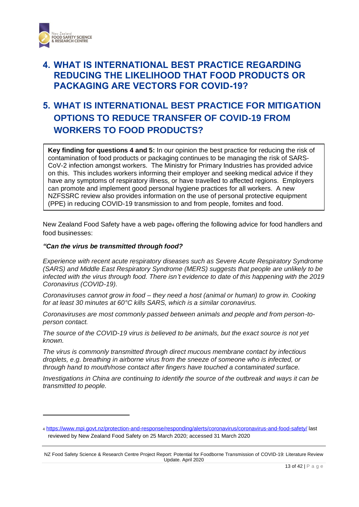

## <span id="page-12-0"></span>**4. WHAT IS INTERNATIONAL BEST PRACTICE REGARDING REDUCING THE LIKELIHOOD THAT FOOD PRODUCTS OR PACKAGING ARE VECTORS FOR COVID-19?**

## <span id="page-12-1"></span>**5. WHAT IS INTERNATIONAL BEST PRACTICE FOR MITIGATION OPTIONS TO REDUCE TRANSFER OF COVID-19 FROM WORKERS TO FOOD PRODUCTS?**

**Key finding for questions 4 and 5:** In our opinion the best practice for reducing the risk of contamination of food products or packaging continues to be managing the risk of SARS-CoV-2 infection amongst workers. The Ministry for Primary Industries has provided advice on this. This includes workers informing their employer and seeking medical advice if they have any symptoms of respiratory illness, or have travelled to affected regions. Employers can promote and implement good personal hygiene practices for all workers. A new NZFSSRC review also provides information on the use of personal protective equipment (PPE) in reducing COVID-19 transmission to and from people, fomites and food.

New Zealand Food Safety have a web page<sup>4</sup> offering the following advice for food handlers and food businesses:

#### *"Can the virus be transmitted through food?*

*Experience with recent acute respiratory diseases such as Severe Acute Respiratory Syndrome (SARS) and Middle East Respiratory Syndrome (MERS) suggests that people are unlikely to be infected with the virus through food. There isn't evidence to date of this happening with the 2019 Coronavirus (COVID-19).*

*Coronaviruses cannot grow in food – they need a host (animal or human) to grow in. Cooking for at least 30 minutes at 60°C kills SARS, which is a similar coronavirus.*

*Coronaviruses are most commonly passed between animals and people and from person-toperson contact.*

*The source of the COVID-19 virus is believed to be animals, but the exact source is not yet known.*

*The virus is commonly transmitted through direct mucous membrane contact by infectious droplets, e.g. breathing in airborne virus from the sneeze of someone who is infected, or through hand to mouth/nose contact after fingers have touched a contaminated surface.*

*Investigations in China are continuing to identify the source of the outbreak and ways it can be transmitted to people.*

<sup>4</sup> <https://www.mpi.govt.nz/protection-and-response/responding/alerts/coronavirus/coronavirus-and-food-safety/> last reviewed by New Zealand Food Safety on 25 March 2020; accessed 31 March 2020

NZ Food Safety Science & Research Centre Project Report: Potential for Foodborne Transmission of COVID-19: Literature Review Update. April 2020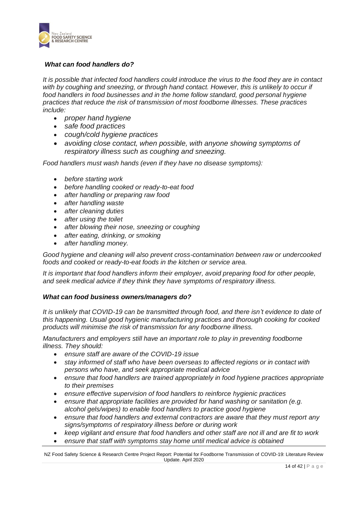

### *What can food handlers do?*

*It is possible that infected food handlers could introduce the virus to the food they are in contact*  with by coughing and sneezing, or through hand contact. However, this is unlikely to occur if *food handlers in food businesses and in the home follow standard, good personal hygiene practices that reduce the risk of transmission of most foodborne illnesses. These practices include:*

- *proper hand hygiene*
- *safe food practices*
- *cough/cold hygiene practices*
- *avoiding close contact, when possible, with anyone showing symptoms of respiratory illness such as coughing and sneezing.*

*Food handlers must wash hands (even if they have no disease symptoms):*

- *before starting work*
- *before handling cooked or ready-to-eat food*
- *after handling or preparing raw food*
- *after handling waste*
- *after cleaning duties*
- *after using the toilet*
- *after blowing their nose, sneezing or coughing*
- *after eating, drinking, or smoking*
- *after handling money.*

*Good hygiene and cleaning will also prevent cross-contamination between raw or undercooked foods and cooked or ready-to-eat foods in the kitchen or service area.*

*It is important that food handlers inform their employer, avoid preparing food for other people, and seek medical advice if they think they have symptoms of respiratory illness.*

### *What can food business owners/managers do?*

*It is unlikely that COVID-19 can be transmitted through food, and there isn't evidence to date of this happening. Usual good hygienic manufacturing practices and thorough cooking for cooked products will minimise the risk of transmission for any foodborne illness.*

*Manufacturers and employers still have an important role to play in preventing foodborne illness. They should:*

- *ensure staff are aware of the COVID-19 issue*
- *stay informed of staff who have been overseas to affected regions or in contact with persons who have, and seek appropriate medical advice*
- *ensure that food handlers are trained appropriately in food hygiene practices appropriate to their premises*
- *ensure effective supervision of food handlers to reinforce hygienic practices*
- *ensure that appropriate facilities are provided for hand washing or sanitation (e.g. alcohol gels/wipes) to enable food handlers to practice good hygiene*
- *ensure that food handlers and external contractors are aware that they must report any signs/symptoms of respiratory illness before or during work*
- *keep vigilant and ensure that food handlers and other staff are not ill and are fit to work*
- *ensure that staff with symptoms stay home until medical advice is obtained*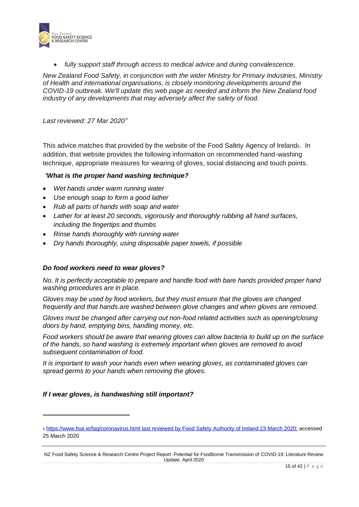

• *fully support staff through access to medical advice and during convalescence.*

*New Zealand Food Safety, in conjunction with the wider Ministry for Primary Industries, Ministry of Health and international organisations, is closely monitoring developments around the COVID-19 outbreak. We'll update this web page as needed and inform the New Zealand food industry of any developments that may adversely affect the safety of food.*

*Last reviewed: 27 Mar 2020"*

This advice matches that provided by the website of the Food Safety Agency of Ireland5. In addition, that website provides the following information on recommended hand-washing technique, appropriate measures for wearing of gloves, social distancing and touch points.

### *"What is the proper hand washing technique?*

- *Wet hands under warm running water*
- *Use enough soap to form a good lather*
- *Rub all parts of hands with soap and water*
- *Lather for at least 20 seconds, vigorously and thoroughly rubbing all hand surfaces, including the fingertips and thumbs*
- *Rinse hands thoroughly with running water*
- *Dry hands thoroughly, using disposable paper towels, if possible*

### *Do food workers need to wear gloves?*

*No. It is perfectly acceptable to prepare and handle food with bare hands provided proper hand washing procedures are in place.* 

*Gloves may be used by food workers, but they must ensure that the gloves are changed frequently and that hands are washed between glove changes and when gloves are removed.* 

*Gloves must be changed after carrying out non-food related activities such as opening/closing doors by hand, emptying bins, handling money, etc.* 

*Food workers should be aware that wearing gloves can allow bacteria to build up on the surface of the hands, so hand washing is extremely important when gloves are removed to avoid subsequent contamination of food.* 

*It is important to wash your hands even when wearing gloves, as contaminated gloves can spread germs to your hands when removing the gloves.*

### *If I wear gloves, is handwashing still important?*

<sup>5</sup> <https://www.fsai.ie/faq/coronavirus.html> last reviewed by Food Safety Authority of Ireland 23 March 2020; accessed 25 March 2020

NZ Food Safety Science & Research Centre Project Report: Potential for Foodborne Transmission of COVID-19: Literature Review Update. April 2020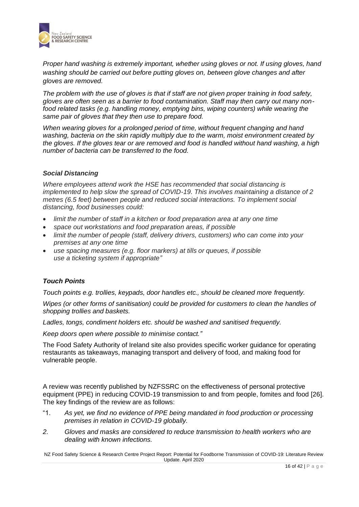

*Proper hand washing is extremely important, whether using gloves or not. If using gloves, hand washing should be carried out before putting gloves on, between glove changes and after gloves are removed.* 

*The problem with the use of gloves is that if staff are not given proper training in food safety, gloves are often seen as a barrier to food contamination. Staff may then carry out many nonfood related tasks (e.g. handling money, emptying bins, wiping counters) while wearing the same pair of gloves that they then use to prepare food.*

*When wearing gloves for a prolonged period of time, without frequent changing and hand washing, bacteria on the skin rapidly multiply due to the warm, moist environment created by the gloves. If the gloves tear or are removed and food is handled without hand washing, a high number of bacteria can be transferred to the food.*

### *Social Distancing*

*Where employees attend work the HSE has recommended that social distancing is implemented to help slow the spread of COVID-19. This involves maintaining a distance of 2 metres (6.5 feet) between people and reduced social interactions. To implement social distancing, food businesses could:*

- *limit the number of staff in a kitchen or food preparation area at any one time*
- *space out workstations and food preparation areas, if possible*
- *limit the number of people (staff, delivery drivers, customers) who can come into your premises at any one time*
- *use spacing measures (e.g. floor markers) at tills or queues, if possible use a ticketing system if appropriate"*

### *Touch Points*

*Touch points e.g. trollies, keypads, door handles etc., should be cleaned more frequently.*

*Wipes (or other forms of sanitisation) could be provided for customers to clean the handles of shopping trollies and baskets.*

*Ladles, tongs, condiment holders etc. should be washed and sanitised frequently.*

*Keep doors open where possible to minimise contact."*

The Food Safety Authority of Ireland site also provides specific worker guidance for operating restaurants as takeaways, managing transport and delivery of food, and making food for vulnerable people.

A review was recently published by NZFSSRC on the effectiveness of personal protective equipment (PPE) in reducing COVID-19 transmission to and from people, fomites and food [26]. The key findings of the review are as follows:

- "1. *As yet, we find no evidence of PPE being mandated in food production or processing premises in relation in COVID-19 globally.*
- *2. Gloves and masks are considered to reduce transmission to health workers who are dealing with known infections.*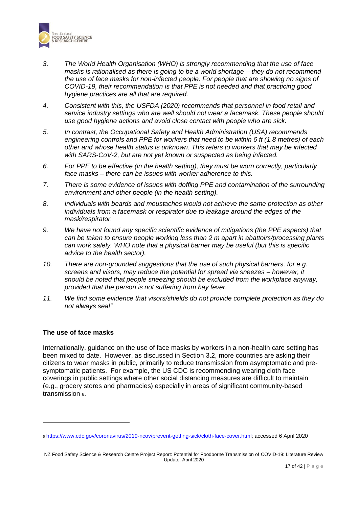

- *3. The World Health Organisation (WHO) is strongly recommending that the use of face masks is rationalised as there is going to be a world shortage – they do not recommend the use of face masks for non-infected people. For people that are showing no signs of COVID-19, their recommendation is that PPE is not needed and that practicing good hygiene practices are all that are required.*
- *4. Consistent with this, the USFDA (2020) recommends that personnel in food retail and service industry settings who are well should not wear a facemask. These people should use good hygiene actions and avoid close contact with people who are sick.*
- *5. In contrast, the Occupational Safety and Health Administration (USA) recommends engineering controls and PPE for workers that need to be within 6 ft (1.8 metres) of each other and whose health status is unknown. This refers to workers that may be infected with SARS-CoV-2, but are not yet known or suspected as being infected.*
- *6. For PPE to be effective (in the health setting), they must be worn correctly, particularly face masks – there can be issues with worker adherence to this.*
- *7. There is some evidence of issues with doffing PPE and contamination of the surrounding environment and other people (in the health setting).*
- *8. Individuals with beards and moustaches would not achieve the same protection as other individuals from a facemask or respirator due to leakage around the edges of the mask/respirator.*
- *9. We have not found any specific scientific evidence of mitigations (the PPE aspects) that can be taken to ensure people working less than 2 m apart in abattoirs/processing plants can work safely. WHO note that a physical barrier may be useful (but this is specific advice to the health sector).*
- *10. There are non-grounded suggestions that the use of such physical barriers, for e.g. screens and visors, may reduce the potential for spread via sneezes – however, it should be noted that people sneezing should be excluded from the workplace anyway, provided that the person is not suffering from hay fever.*
- *11. We find some evidence that visors/shields do not provide complete protection as they do not always seal"*

### **The use of face masks**

Internationally, guidance on the use of face masks by workers in a non-health care setting has been mixed to date. However, as discussed in Section 3.2, more countries are asking their citizens to wear masks in public, primarily to reduce transmission from asymptomatic and presymptomatic patients. For example, the US CDC is recommending wearing cloth face coverings in public settings where other social distancing measures are difficult to maintain (e.g., grocery stores and pharmacies) especially in areas of significant community-based transmission 6.

<sup>6</sup> [https://www.cdc.gov/coronavirus/2019-ncov/prevent-getting-sick/cloth-face-cover.html;](https://www.cdc.gov/coronavirus/2019-ncov/prevent-getting-sick/cloth-face-cover.html) accessed 6 April 2020

NZ Food Safety Science & Research Centre Project Report: Potential for Foodborne Transmission of COVID-19: Literature Review Update. April 2020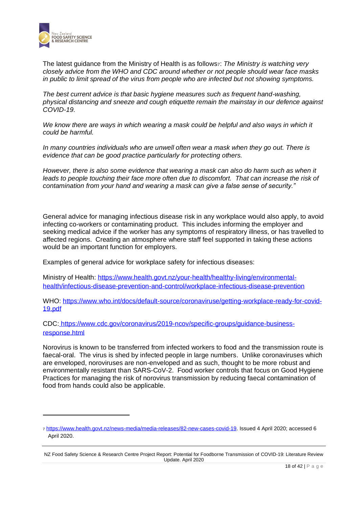

The latest guidance from the Ministry of Health is as follows<sub>7</sub>: *The Ministry is watching very closely advice from the WHO and CDC around whether or not people should wear face masks in public to limit spread of the virus from people who are infected but not showing symptoms.*

*The best current advice is that basic hygiene measures such as frequent hand-washing, physical distancing and sneeze and cough etiquette remain the mainstay in our defence against COVID-19.* 

We know there are ways in which wearing a mask could be helpful and also ways in which it *could be harmful.*

*In many countries individuals who are unwell often wear a mask when they go out. There is evidence that can be good practice particularly for protecting others.*

*However, there is also some evidence that wearing a mask can also do harm such as when it*  leads to people touching their face more often due to discomfort. That can increase the risk of *contamination from your hand and wearing a mask can give a false sense of security."*

General advice for managing infectious disease risk in any workplace would also apply, to avoid infecting co-workers or contaminating product. This includes informing the employer and seeking medical advice if the worker has any symptoms of respiratory illness, or has travelled to affected regions. Creating an atmosphere where staff feel supported in taking these actions would be an important function for employers.

Examples of general advice for workplace safety for infectious diseases:

Ministry of Health: [https://www.health.govt.nz/your-health/healthy-living/environmental](https://www.health.govt.nz/your-health/healthy-living/environmental-health/infectious-disease-prevention-and-control/workplace-infectious-disease-prevention)[health/infectious-disease-prevention-and-control/workplace-infectious-disease-prevention](https://www.health.govt.nz/your-health/healthy-living/environmental-health/infectious-disease-prevention-and-control/workplace-infectious-disease-prevention)

WHO: [https://www.who.int/docs/default-source/coronaviruse/getting-workplace-ready-for-covid-](https://www.who.int/docs/default-source/coronaviruse/getting-workplace-ready-for-covid-19.pdf)[19.pdf](https://www.who.int/docs/default-source/coronaviruse/getting-workplace-ready-for-covid-19.pdf)

CDC: [https://www.cdc.gov/coronavirus/2019-ncov/specific-groups/guidance-business](https://www.cdc.gov/coronavirus/2019-ncov/specific-groups/guidance-business-response.html)[response.html](https://www.cdc.gov/coronavirus/2019-ncov/specific-groups/guidance-business-response.html)

Norovirus is known to be transferred from infected workers to food and the transmission route is faecal-oral. The virus is shed by infected people in large numbers. Unlike coronaviruses which are enveloped, noroviruses are non-enveloped and as such, thought to be more robust and environmentally resistant than SARS-CoV-2. Food worker controls that focus on Good Hygiene Practices for managing the risk of norovirus transmission by reducing faecal contamination of food from hands could also be applicable.

<sup>7</sup> [https://www.health.govt.nz/news-media/media-releases/82-new-cases-covid-19.](https://www.health.govt.nz/news-media/media-releases/82-new-cases-covid-19) Issued 4 April 2020; accessed 6 April 2020.

NZ Food Safety Science & Research Centre Project Report: Potential for Foodborne Transmission of COVID-19: Literature Review Update. April 2020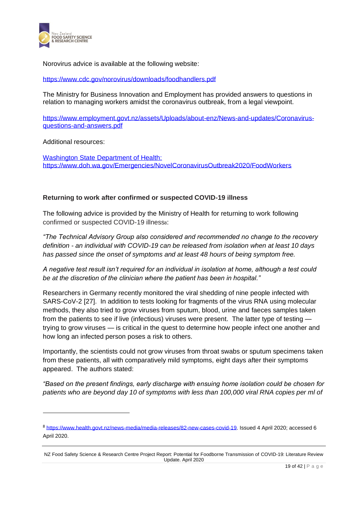

Norovirus advice is available at the following website:

<https://www.cdc.gov/norovirus/downloads/foodhandlers.pdf>

The Ministry for Business Innovation and Employment has provided answers to questions in relation to managing workers amidst the coronavirus outbreak, from a legal viewpoint.

[https://www.employment.govt.nz/assets/Uploads/about-enz/News-and-updates/Coronavirus](https://www.employment.govt.nz/assets/Uploads/about-enz/News-and-updates/Coronavirus-questions-and-answers.pdf)[questions-and-answers.pdf](https://www.employment.govt.nz/assets/Uploads/about-enz/News-and-updates/Coronavirus-questions-and-answers.pdf)

Additional resources:

Washington State Department of Health: <https://www.doh.wa.gov/Emergencies/NovelCoronavirusOutbreak2020/FoodWorkers>

### **Returning to work after confirmed or suspected COVID-19 illness**

The following advice is provided by the Ministry of Health for returning to work following confirmed or suspected COVID-19 illnesss:

*"The Technical Advisory Group also considered and recommended no change to the recovery definition - an individual with COVID-19 can be released from isolation when at least 10 days has passed since the onset of symptoms and at least 48 hours of being symptom free.* 

*A negative test result isn't required for an individual in isolation at home, although a test could be at the discretion of the clinician where the patient has been in hospital."*

Researchers in Germany recently monitored the viral shedding of nine people infected with SARS-CoV-2 [27]. In addition to tests looking for fragments of the virus RNA using molecular methods, they also tried to grow viruses from sputum, blood, urine and faeces samples taken from the patients to see if live (infectious) viruses were present. The latter type of testing trying to grow viruses — is critical in the quest to determine how people infect one another and how long an infected person poses a risk to others.

Importantly, the scientists could not grow viruses from throat swabs or sputum specimens taken from these patients, all with comparatively mild symptoms, eight days after their symptoms appeared. The authors stated:

*"Based on the present findings, early discharge with ensuing home isolation could be chosen for patients who are beyond day 10 of symptoms with less than 100,000 viral RNA copies per ml of* 

<sup>8</sup> [https://www.health.govt.nz/news-media/media-releases/82-new-cases-covid-19.](https://www.health.govt.nz/news-media/media-releases/82-new-cases-covid-19) Issued 4 April 2020; accessed 6 April 2020.

NZ Food Safety Science & Research Centre Project Report: Potential for Foodborne Transmission of COVID-19: Literature Review Update. April 2020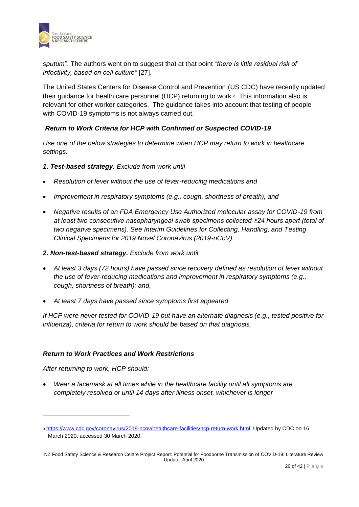

*sputum*". The authors went on to suggest that at that point *"there is little residual risk of infectivity, based on cell culture"* [27].

The United States Centers for Disease Control and Prevention (US CDC) have recently updated their guidance for health care personnel (HCP) returning to work.<sup>9</sup> This information also is relevant for other worker categories. The guidance takes into account that testing of people with COVID-19 symptoms is not always carried out.

### *"Return to Work Criteria for HCP with Confirmed or Suspected COVID-19*

*Use one of the below strategies to determine when HCP may return to work in healthcare settings.*

- *1. Test-based strategy. Exclude from work until*
- *Resolution of fever without the use of fever-reducing medications and*
- *Improvement in respiratory symptoms (e.g., cough, shortness of breath), and*
- *Negative results of an FDA Emergency Use Authorized molecular assay for COVID-19 from at least two consecutive nasopharyngeal swab specimens collected ≥24 hours apart (total of two negative specimens). See Interim Guidelines for Collecting, Handling, and Testing Clinical Specimens for 2019 Novel Coronavirus (2019-nCoV).*
- *2. Non-test-based strategy. Exclude from work until*
- *At least 3 days (72 hours) have passed since recovery defined as resolution of fever without the use of fever-reducing medications and improvement in respiratory symptoms (e.g., cough, shortness of breath); and,*
- *At least 7 days have passed since symptoms first appeared*

*If HCP were never tested for COVID-19 but have an alternate diagnosis (e.g., tested positive for influenza), criteria for return to work should be based on that diagnosis.*

### *Return to Work Practices and Work Restrictions*

*After returning to work, HCP should:*

• *Wear a facemask at all times while in the healthcare facility until all symptoms are completely resolved or until 14 days after illness onset, whichever is longer*

<sup>9</sup> [https://www.cdc.gov/coronavirus/2019-ncov/healthcare-facilities/hcp-return-work.html.](https://www.cdc.gov/coronavirus/2019-ncov/healthcare-facilities/hcp-return-work.html) Updated by CDC on 16 March 2020; accessed 30 March 2020.

NZ Food Safety Science & Research Centre Project Report: Potential for Foodborne Transmission of COVID-19: Literature Review Update. April 2020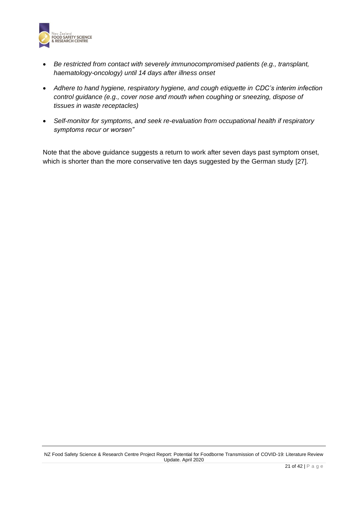

- *Be restricted from contact with severely immunocompromised patients (e.g., transplant, haematology-oncology) until 14 days after illness onset*
- *Adhere to hand hygiene, respiratory hygiene, and cough etiquette in CDC's interim infection control guidance (e.g., cover nose and mouth when coughing or sneezing, dispose of tissues in waste receptacles)*
- *Self-monitor for symptoms, and seek re-evaluation from occupational health if respiratory symptoms recur or worsen"*

Note that the above guidance suggests a return to work after seven days past symptom onset, which is shorter than the more conservative ten days suggested by the German study [27].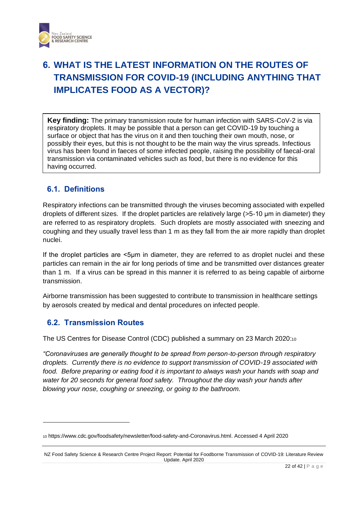

# <span id="page-21-0"></span>**6. WHAT IS THE LATEST INFORMATION ON THE ROUTES OF TRANSMISSION FOR COVID-19 (INCLUDING ANYTHING THAT IMPLICATES FOOD AS A VECTOR)?**

**Key finding:** The primary transmission route for human infection with SARS-CoV-2 is via respiratory droplets. It may be possible that a person can get COVID-19 by touching a surface or object that has the virus on it and then touching their own mouth, nose, or possibly their eyes, but this is not thought to be the main way the virus spreads. Infectious virus has been found in faeces of some infected people, raising the possibility of faecal-oral transmission via contaminated vehicles such as food, but there is no evidence for this having occurred.

### <span id="page-21-1"></span>**6.1. Definitions**

Respiratory infections can be transmitted through the viruses becoming associated with expelled droplets of different sizes. If the droplet particles are relatively large (>5-10 μm in diameter) they are referred to as respiratory droplets. Such droplets are mostly associated with sneezing and coughing and they usually travel less than 1 m as they fall from the air more rapidly than droplet nuclei.

If the droplet particles are <5μm in diameter, they are referred to as droplet nuclei and these particles can remain in the air for long periods of time and be transmitted over distances greater than 1 m. If a virus can be spread in this manner it is referred to as being capable of airborne transmission.

Airborne transmission has been suggested to contribute to transmission in healthcare settings by aerosols created by medical and dental procedures on infected people.

### <span id="page-21-2"></span>**6.2. Transmission Routes**

The US Centres for Disease Control (CDC) published a summary on 23 March 2020:<sup>10</sup>

*"Coronaviruses are generally thought to be spread from person-to-person through respiratory droplets. Currently there is no evidence to support transmission of COVID-19 associated with food. Before preparing or eating food it is important to always wash your hands with soap and water for 20 seconds for general food safety. Throughout the day wash your hands after blowing your nose, coughing or sneezing, or going to the bathroom.* 

<sup>10</sup> https://www.cdc.gov/foodsafety/newsletter/food-safety-and-Coronavirus.html. Accessed 4 April 2020

NZ Food Safety Science & Research Centre Project Report: Potential for Foodborne Transmission of COVID-19: Literature Review Update. April 2020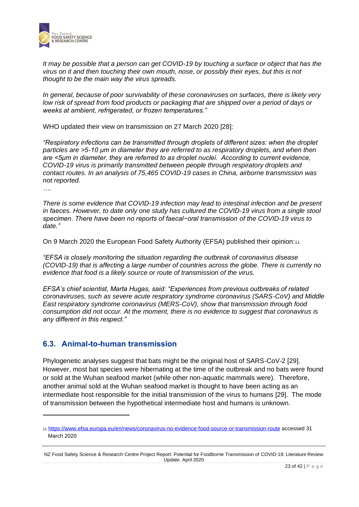

*It may be possible that a person can get COVID-19 by touching a surface or object that has the virus on it and then touching their own mouth, nose, or possibly their eyes, but this is not thought to be the main way the virus spreads.*

*In general, because of poor survivability of these coronaviruses on surfaces, there is likely very low risk of spread from food products or packaging that are shipped over a period of days or weeks at ambient, refrigerated, or frozen temperatures."*

WHO updated their view on transmission on 27 March 2020 [28]:

*"Respiratory infections can be transmitted through droplets of different sizes: when the droplet particles are >5-10 μm in diameter they are referred to as respiratory droplets, and when then are <5μm in diameter, they are referred to as droplet nuclei. According to current evidence, COVID-19 virus is primarily transmitted between people through respiratory droplets and contact routes. In an analysis of 75,465 COVID-19 cases in China, airborne transmission was not reported.*

*….*

*There is some evidence that COVID-19 infection may lead to intestinal infection and be present in faeces. However, to date only one study has cultured the COVID-19 virus from a single stool specimen. There have been no reports of faecal−oral transmission of the COVID-19 virus to date."*

On 9 March 2020 the European Food Safety Authority (EFSA) published their opinion:<sup>11</sup>

*"EFSA is closely monitoring the situation regarding the outbreak of coronavirus disease (COVID-19) that is affecting a large number of countries across the globe. There is currently no evidence that food is a likely source or route of transmission of the virus.*

*EFSA's chief scientist, Marta Hugas, said: "Experiences from previous outbreaks of related coronaviruses, such as severe acute respiratory syndrome coronavirus (SARS-CoV) and Middle East respiratory syndrome coronavirus (MERS-CoV), show that transmission through food consumption did not occur. At the moment, there is no evidence to suggest that coronavirus is any different in this respect."*

### <span id="page-22-0"></span>**6.3. Animal-to-human transmission**

Phylogenetic analyses suggest that bats might be the original host of SARS-CoV-2 [29]. However, most bat species were hibernating at the time of the outbreak and no bats were found or sold at the Wuhan seafood market (while other non-aquatic mammals were). Therefore, another animal sold at the Wuhan seafood market is thought to have been acting as an intermediate host responsible for the initial transmission of the virus to humans [29]. The mode of transmission between the hypothetical intermediate host and humans is unknown.

<sup>11</sup> <https://www.efsa.europa.eu/en/news/coronavirus-no-evidence-food-source-or-transmission-route> accessed 31 March 2020

NZ Food Safety Science & Research Centre Project Report: Potential for Foodborne Transmission of COVID-19: Literature Review Update. April 2020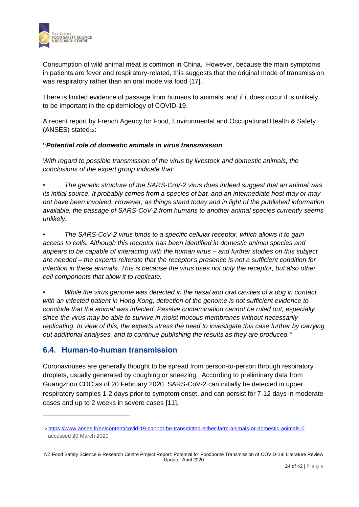

Consumption of wild animal meat is common in China. However, because the main symptoms in patients are fever and respiratory-related, this suggests that the original mode of transmission was respiratory rather than an oral mode via food [17].

There is limited evidence of passage from humans to animals, and if it does occur it is unlikely to be important in the epidemiology of COVID-19.

A recent report by French Agency for Food, Environmental and Occupational Health & Safety (ANSES) stated<sub>12</sub>:

### **"***Potential role of domestic animals in virus transmission*

*With regard to possible transmission of the virus by livestock and domestic animals, the conclusions of the expert group indicate that:*

*• The genetic structure of the SARS-CoV-2 virus does indeed suggest that an animal was its initial source. It probably comes from a species of bat, and an intermediate host may or may not have been involved. However, as things stand today and in light of the published information available, the passage of SARS-CoV-2 from humans to another animal species currently seems unlikely.*

*• The SARS-CoV-2 virus binds to a specific cellular receptor, which allows it to gain access to cells. Although this receptor has been identified in domestic animal species and appears to be capable of interacting with the human virus – and further studies on this subject are needed – the experts reiterate that the receptor's presence is not a sufficient condition for infection in these animals. This is because the virus uses not only the receptor, but also other cell components that allow it to replicate.*

*• While the virus genome was detected in the nasal and oral cavities of a dog in contact with an infected patient in Hong Kong, detection of the genome is not sufficient evidence to conclude that the animal was infected. Passive contamination cannot be ruled out, especially since the virus may be able to survive in moist mucous membranes without necessarily replicating. In view of this, the experts stress the need to investigate this case further by carrying out additional analyses, and to continue publishing the results as they are produced."*

### <span id="page-23-0"></span>**6.4. Human-to-human transmission**

Coronaviruses are generally thought to be spread from person-to-person through respiratory droplets, usually generated by coughing or sneezing. According to preliminary data from Guangzhou CDC as of 20 February 2020, SARS-CoV-2 can initially be detected in upper respiratory samples 1-2 days prior to symptom onset, and can persist for 7-12 days in moderate cases and up to 2 weeks in severe cases [11].

<sup>12</sup> <https://www.anses.fr/en/content/covid-19-cannot-be-transmitted-either-farm-animals-or-domestic-animals-0> accessed 20 March 2020

NZ Food Safety Science & Research Centre Project Report: Potential for Foodborne Transmission of COVID-19: Literature Review Update. April 2020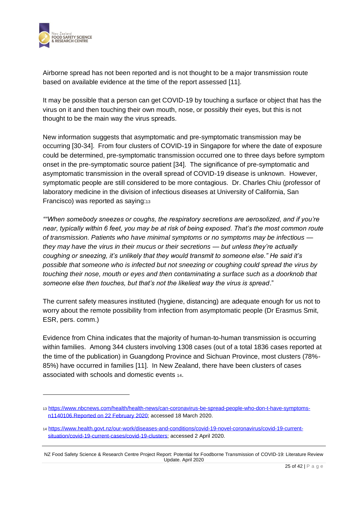

Airborne spread has not been reported and is not thought to be a major transmission route based on available evidence at the time of the report assessed [11].

It may be possible that a person can get COVID-19 by touching a surface or object that has the virus on it and then touching their own mouth, nose, or possibly their eyes, but this is not thought to be the main way the virus spreads.

New information suggests that asymptomatic and pre-symptomatic transmission may be occurring [30-34]. From four clusters of COVID-19 in Singapore for where the date of exposure could be determined, pre-symptomatic transmission occurred one to three days before symptom onset in the pre-symptomatic source patient [34]. The significance of pre-symptomatic and asymptomatic transmission in the overall spread of COVID-19 disease is unknown. However, symptomatic people are still considered to be more contagious. Dr. Charles Chiu (professor of laboratory medicine in the division of infectious diseases at University of California, San Francisco) was reported as saying:<sup>13</sup>

*""When somebody sneezes or coughs, the respiratory secretions are aerosolized, and if you're near, typically within 6 feet, you may be at risk of being exposed. That's the most common route of transmission. Patients who have minimal symptoms or no symptoms may be infectious they may have the virus in their mucus or their secretions — but unless they're actually coughing or sneezing, it's unlikely that they would transmit to someone else." He said it's possible that someone who is infected but not sneezing or coughing could spread the virus by touching their nose, mouth or eyes and then contaminating a surface such as a doorknob that someone else then touches, but that's not the likeliest way the virus is spread*."

The current safety measures instituted (hygiene, distancing) are adequate enough for us not to worry about the remote possibility from infection from asymptomatic people (Dr Erasmus Smit, ESR, pers. comm.)

Evidence from China indicates that the majority of human-to-human transmission is occurring within families. Among 344 clusters involving 1308 cases (out of a total 1836 cases reported at the time of the publication) in Guangdong Province and Sichuan Province, most clusters (78%- 85%) have occurred in families [11]. In New Zealand, there have been clusters of cases associated with schools and domestic events <sup>14</sup>.

<sup>13</sup> [https://www.nbcnews.com/health/health-news/can-coronavirus-be-spread-people-who-don-t-have-symptoms](https://www.nbcnews.com/health/health-news/can-coronavirus-be-spread-people-who-don-t-have-symptoms-n1140106.Reported%20on%2022%20February%202020)n1140106.Reported [on 22 February 2020;](https://www.nbcnews.com/health/health-news/can-coronavirus-be-spread-people-who-don-t-have-symptoms-n1140106.Reported%20on%2022%20February%202020) accessed 18 March 2020.

<sup>14</sup> [https://www.health.govt.nz/our-work/diseases-and-conditions/covid-19-novel-coronavirus/covid-19-current](https://www.health.govt.nz/our-work/diseases-and-conditions/covid-19-novel-coronavirus/covid-19-current-situation/covid-19-current-cases/covid-19-clusters)[situation/covid-19-current-cases/covid-19-clusters;](https://www.health.govt.nz/our-work/diseases-and-conditions/covid-19-novel-coronavirus/covid-19-current-situation/covid-19-current-cases/covid-19-clusters) accessed 2 April 2020.

NZ Food Safety Science & Research Centre Project Report: Potential for Foodborne Transmission of COVID-19: Literature Review Update. April 2020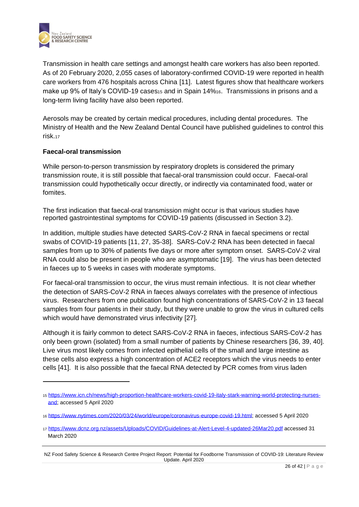

Transmission in health care settings and amongst health care workers has also been reported. As of 20 February 2020, 2,055 cases of laboratory-confirmed COVID-19 were reported in health care workers from 476 hospitals across China [11]. Latest figures show that healthcare workers make up 9% of Italy's COVID-19 cases<sub>15</sub> and in Spain 14%<sub>16</sub>. Transmissions in prisons and a long-term living facility have also been reported.

Aerosols may be created by certain medical procedures, including dental procedures. The Ministry of Health and the New Zealand Dental Council have published guidelines to control this risk.<sup>17</sup>

### **Faecal-oral transmission**

While person-to-person transmission by respiratory droplets is considered the primary transmission route, it is still possible that faecal-oral transmission could occur. Faecal-oral transmission could hypothetically occur directly, or indirectly via contaminated food, water or fomites.

The first indication that faecal-oral transmission might occur is that various studies have reported gastrointestinal symptoms for COVID-19 patients (discussed in Section 3.2).

In addition, multiple studies have detected SARS-CoV-2 RNA in faecal specimens or rectal swabs of COVID-19 patients [11, 27, 35-38]. SARS-CoV-2 RNA has been detected in faecal samples from up to 30% of patients five days or more after symptom onset. SARS-CoV-2 viral RNA could also be present in people who are asymptomatic [19]. The virus has been detected in faeces up to 5 weeks in cases with moderate symptoms.

For faecal-oral transmission to occur, the virus must remain infectious. It is not clear whether the detection of SARS-CoV-2 RNA in faeces always correlates with the presence of infectious virus. Researchers from one publication found high concentrations of SARS-CoV-2 in 13 faecal samples from four patients in their study, but they were unable to grow the virus in cultured cells which would have demonstrated virus infectivity [27].

Although it is fairly common to detect SARS-CoV-2 RNA in faeces, infectious SARS-CoV-2 has only been grown (isolated) from a small number of patients by Chinese researchers [36, 39, 40]. Live virus most likely comes from infected epithelial cells of the small and large intestine as these cells also express a high concentration of ACE2 receptors which the virus needs to enter cells [41]. It is also possible that the faecal RNA detected by PCR comes from virus laden

<sup>15</sup> [https://www.icn.ch/news/high-proportion-healthcare-workers-covid-19-italy-stark-warning-world-protecting-nurses](https://www.icn.ch/news/high-proportion-healthcare-workers-covid-19-italy-stark-warning-world-protecting-nurses-and)[and;](https://www.icn.ch/news/high-proportion-healthcare-workers-covid-19-italy-stark-warning-world-protecting-nurses-and) accessed 5 April 2020

<sup>16</sup> [https://www.nytimes.com/2020/03/24/world/europe/coronavirus-europe-covid-19.html;](https://www.nytimes.com/2020/03/24/world/europe/coronavirus-europe-covid-19.html) accessed 5 April 2020

<sup>17</sup> <https://www.dcnz.org.nz/assets/Uploads/COVID/Guidelines-at-Alert-Level-4-updated-26Mar20.pdf> accessed 31 March 2020

NZ Food Safety Science & Research Centre Project Report: Potential for Foodborne Transmission of COVID-19: Literature Review Update. April 2020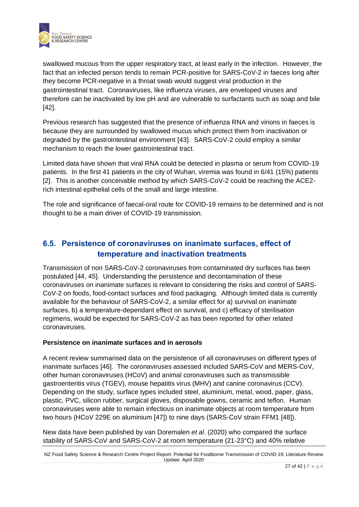

swallowed mucous from the upper respiratory tract, at least early in the infection. However, the fact that an infected person tends to remain PCR-positive for SARS-CoV-2 in faeces long after they become PCR-negative in a throat swab would suggest viral production in the gastrointestinal tract. Coronaviruses, like influenza viruses, are enveloped viruses and therefore can be inactivated by low pH and are vulnerable to surfactants such as soap and bile [42].

Previous research has suggested that the presence of influenza RNA and virions in faeces is because they are surrounded by swallowed mucus which protect them from inactivation or degraded by the gastrointestinal environment [43]. SARS-CoV-2 could employ a similar mechanism to reach the lower gastrointestinal tract.

Limited data have shown that viral RNA could be detected in plasma or serum from COVID-19 patients. In the first 41 patients in the city of Wuhan, viremia was found in 6/41 (15%) patients [2]. This is another conceivable method by which SARS-CoV-2 could be reaching the ACE2 rich intestinal epithelial cells of the small and large intestine.

The role and significance of faecal-oral route for COVID-19 remains to be determined and is not thought to be a main driver of COVID-19 transmission.

### <span id="page-26-0"></span>**6.5. Persistence of coronaviruses on inanimate surfaces, effect of temperature and inactivation treatments**

Transmission of non SARS-CoV-2 coronaviruses from contaminated dry surfaces has been postulated [44, 45]. Understanding the persistence and decontamination of these coronaviruses on inanimate surfaces is relevant to considering the risks and control of SARS-CoV-2 on foods, food-contact surfaces and food packaging. Although limited data is currently available for the behaviour of SARS-CoV-2, a similar effect for a) survival on inanimate surfaces, b) a temperature-dependant effect on survival, and c) efficacy of sterilisation regimens, would be expected for SARS-CoV-2 as has been reported for other related coronaviruses.

### **Persistence on inanimate surfaces and in aerosols**

A recent review summarised data on the persistence of all coronaviruses on different types of inanimate surfaces [46]. The coronaviruses assessed included SARS-CoV and MERS-CoV, other human coronaviruses (HCoV) and animal coronaviruses such as transmissible gastroenteritis virus (TGEV), mouse hepatitis virus (MHV) and canine coronavirus (CCV). Depending on the study, surface types included steel, aluminium, metal, wood, paper, glass, plastic, PVC, silicon rubber, surgical gloves, disposable gowns, ceramic and teflon. Human coronaviruses were able to remain infectious on inanimate objects at room temperature from two hours (HCoV 229E on aluminium [47]) to nine days (SARS-CoV strain FFM1 [48]).

New data have been published by van Doremalen *et al*. (2020) who compared the surface stability of SARS-CoV and SARS-CoV-2 at room temperature (21-23°C) and 40% relative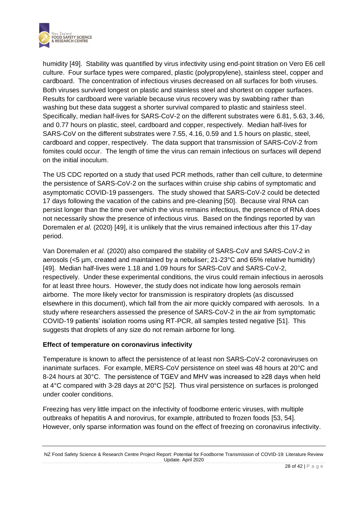

humidity [49]. Stability was quantified by virus infectivity using end-point titration on Vero E6 cell culture. Four surface types were compared, plastic (polypropylene), stainless steel, copper and cardboard. The concentration of infectious viruses decreased on all surfaces for both viruses. Both viruses survived longest on plastic and stainless steel and shortest on copper surfaces. Results for cardboard were variable because virus recovery was by swabbing rather than washing but these data suggest a shorter survival compared to plastic and stainless steel. Specifically, median half-lives for SARS-CoV-2 on the different substrates were 6.81, 5.63, 3.46, and 0.77 hours on plastic, steel, cardboard and copper, respectively. Median half-lives for SARS-CoV on the different substrates were 7.55, 4.16, 0.59 and 1.5 hours on plastic, steel, cardboard and copper, respectively. The data support that transmission of SARS-CoV-2 from fomites could occur. The length of time the virus can remain infectious on surfaces will depend on the initial inoculum.

The US CDC reported on a study that used PCR methods, rather than cell culture, to determine the persistence of SARS-CoV-2 on the surfaces within cruise ship cabins of symptomatic and asymptomatic COVID-19 passengers. The study showed that SARS-CoV-2 could be detected 17 days following the vacation of the cabins and pre-cleaning [50]. Because viral RNA can persist longer than the time over which the virus remains infectious, the presence of RNA does not necessarily show the presence of infectious virus. Based on the findings reported by van Doremalen *et al.* (2020) [49], it is unlikely that the virus remained infectious after this 17-day period.

Van Doremalen *et al.* (2020) also compared the stability of SARS-CoV and SARS-CoV-2 in aerosols (<5 µm, created and maintained by a nebuliser; 21-23°C and 65% relative humidity) [49]. Median half-lives were 1.18 and 1.09 hours for SARS-CoV and SARS-CoV-2, respectively. Under these experimental conditions, the virus could remain infectious in aerosols for at least three hours. However, the study does not indicate how long aerosols remain airborne. The more likely vector for transmission is respiratory droplets (as discussed elsewhere in this document), which fall from the air more quickly compared with aerosols. In a study where researchers assessed the presence of SARS-CoV-2 in the air from symptomatic COVID-19 patients' isolation rooms using RT-PCR, all samples tested negative [51]. This suggests that droplets of any size do not remain airborne for long.

### **Effect of temperature on coronavirus infectivity**

Temperature is known to affect the persistence of at least non SARS-CoV-2 coronaviruses on inanimate surfaces. For example, MERS-CoV persistence on steel was 48 hours at 20°C and 8-24 hours at 30°C. The persistence of TGEV and MHV was increased to ≥28 days when held at 4°C compared with 3-28 days at 20°C [52]. Thus viral persistence on surfaces is prolonged under cooler conditions.

Freezing has very little impact on the infectivity of foodborne enteric viruses, with multiple outbreaks of hepatitis A and norovirus, for example, attributed to frozen foods [53, 54]. However, only sparse information was found on the effect of freezing on coronavirus infectivity.

NZ Food Safety Science & Research Centre Project Report: Potential for Foodborne Transmission of COVID-19: Literature Review Update. April 2020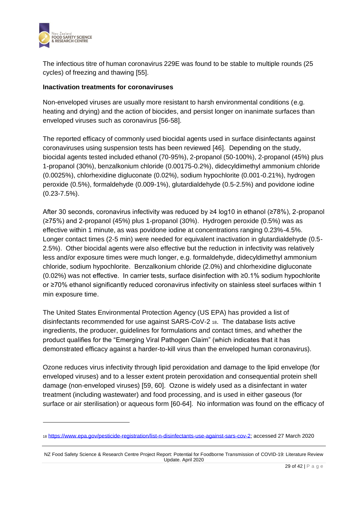

The infectious titre of human coronavirus 229E was found to be stable to multiple rounds (25 cycles) of freezing and thawing [55].

### **Inactivation treatments for coronaviruses**

Non-enveloped viruses are usually more resistant to harsh environmental conditions (e.g. heating and drying) and the action of biocides, and persist longer on inanimate surfaces than enveloped viruses such as coronavirus [56-58].

The reported efficacy of commonly used biocidal agents used in surface disinfectants against coronaviruses using suspension tests has been reviewed [46]. Depending on the study, biocidal agents tested included ethanol (70-95%), 2-propanol (50-100%), 2-propanol (45%) plus 1-propanol (30%), benzalkonium chloride (0.00175-0.2%), didecyldimethyl ammonium chloride (0.0025%), chlorhexidine digluconate (0.02%), sodium hypochlorite (0.001-0.21%), hydrogen peroxide (0.5%), formaldehyde (0.009-1%), glutardialdehyde (0.5-2.5%) and povidone iodine (0.23-7.5%).

After 30 seconds, coronavirus infectivity was reduced by ≥4 log10 in ethanol (≥78%), 2-propanol (≥75%) and 2-propanol (45%) plus 1-propanol (30%). Hydrogen peroxide (0.5%) was as effective within 1 minute, as was povidone iodine at concentrations ranging 0.23%-4.5%. Longer contact times (2-5 min) were needed for equivalent inactivation in glutardialdehyde (0.5- 2.5%). Other biocidal agents were also effective but the reduction in infectivity was relatively less and/or exposure times were much longer, e.g. formaldehyde, didecyldimethyl ammonium chloride, sodium hypochlorite. Benzalkonium chloride (2.0%) and chlorhexidine digluconate (0.02%) was not effective. In carrier tests, surface disinfection with ≥0.1% sodium hypochlorite or ≥70% ethanol significantly reduced coronavirus infectivity on stainless steel surfaces within 1 min exposure time.

The United States Environmental Protection Agency (US EPA) has provided a list of disinfectants recommended for use against SARS-CoV-2 <sup>18</sup>. The database lists active ingredients, the producer, guidelines for formulations and contact times, and whether the product qualifies for the "Emerging Viral Pathogen Claim" (which indicates that it has demonstrated efficacy against a harder-to-kill virus than the enveloped human coronavirus).

Ozone reduces virus infectivity through lipid peroxidation and damage to the lipid envelope (for enveloped viruses) and to a lesser extent protein peroxidation and consequential protein shell damage (non-enveloped viruses) [59, 60]. Ozone is widely used as a disinfectant in water treatment (including wastewater) and food processing, and is used in either gaseous (for surface or air sterilisation) or aqueous form [60-64]. No information was found on the efficacy of

<sup>18</sup> [https://www.epa.gov/pesticide-registration/list-n-disinfectants-use-against-sars-cov-2;](https://www.epa.gov/pesticide-registration/list-n-disinfectants-use-against-sars-cov-2) accessed 27 March 2020

NZ Food Safety Science & Research Centre Project Report: Potential for Foodborne Transmission of COVID-19: Literature Review Update. April 2020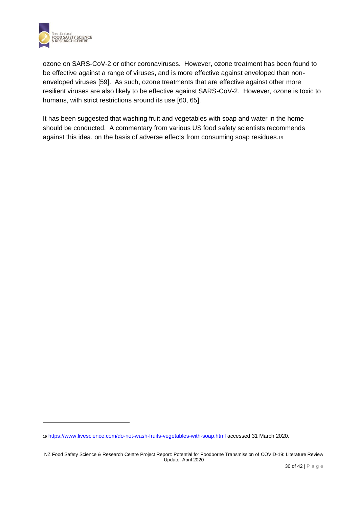

ozone on SARS-CoV-2 or other coronaviruses. However, ozone treatment has been found to be effective against a range of viruses, and is more effective against enveloped than nonenveloped viruses [59]. As such, ozone treatments that are effective against other more resilient viruses are also likely to be effective against SARS-CoV-2. However, ozone is toxic to humans, with strict restrictions around its use [60, 65].

It has been suggested that washing fruit and vegetables with soap and water in the home should be conducted. A commentary from various US food safety scientists recommends against this idea, on the basis of adverse effects from consuming soap residues.<sup>19</sup>

<sup>19</sup> <https://www.livescience.com/do-not-wash-fruits-vegetables-with-soap.html> accessed 31 March 2020.

NZ Food Safety Science & Research Centre Project Report: Potential for Foodborne Transmission of COVID-19: Literature Review Update. April 2020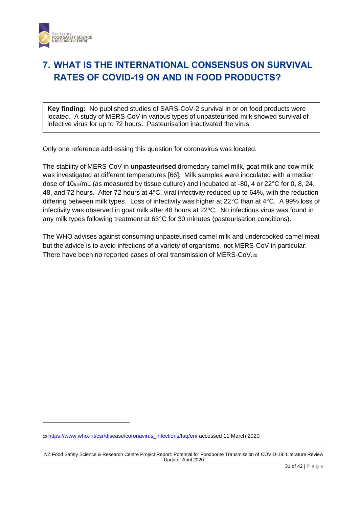

## <span id="page-30-0"></span>**7. WHAT IS THE INTERNATIONAL CONSENSUS ON SURVIVAL RATES OF COVID-19 ON AND IN FOOD PRODUCTS?**

**Key finding:** No published studies of SARS-CoV-2 survival in or on food products were located. A study of MERS-CoV in various types of unpasteurised milk showed survival of infective virus for up to 72 hours. Pasteurisation inactivated the virus.

Only one reference addressing this question for coronavirus was located.

The stability of MERS-CoV in **unpasteurised** dromedary camel milk, goat milk and cow milk was investigated at different temperatures [66]. Milk samples were inoculated with a median dose of 105.5/mL (as measured by tissue culture) and incubated at -80, 4 or 22°C for 0, 8, 24, 48, and 72 hours. After 72 hours at 4°C, viral infectivity reduced up to 64%, with the reduction differing between milk types. Loss of infectivity was higher at 22°C than at 4°C. A 99% loss of infectivity was observed in goat milk after 48 hours at 22ºC. No infectious virus was found in any milk types following treatment at 63°C for 30 minutes (pasteurisation conditions).

The WHO advises against consuming unpasteurised camel milk and undercooked camel meat but the advice is to avoid infections of a variety of organisms, not MERS-CoV in particular. There have been no reported cases of oral transmission of MERS-CoV.<sup>20</sup>

<sup>20</sup> [https://www.who.int/csr/disease/coronavirus\\_infections/faq/en/](https://www.who.int/csr/disease/coronavirus_infections/faq/en/) accessed 11 March 2020

NZ Food Safety Science & Research Centre Project Report: Potential for Foodborne Transmission of COVID-19: Literature Review Update. April 2020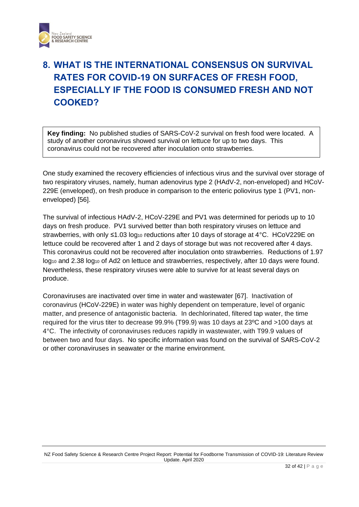

# <span id="page-31-0"></span>**8. WHAT IS THE INTERNATIONAL CONSENSUS ON SURVIVAL RATES FOR COVID-19 ON SURFACES OF FRESH FOOD, ESPECIALLY IF THE FOOD IS CONSUMED FRESH AND NOT COOKED?**

**Key finding:** No published studies of SARS-CoV-2 survival on fresh food were located. A study of another coronavirus showed survival on lettuce for up to two days. This coronavirus could not be recovered after inoculation onto strawberries.

One study examined the recovery efficiencies of infectious virus and the survival over storage of two respiratory viruses, namely, human adenovirus type 2 (HAdV-2, non-enveloped) and HCoV-229E (enveloped), on fresh produce in comparison to the enteric poliovirus type 1 (PV1, nonenveloped) [56].

The survival of infectious HAdV-2, HCoV-229E and PV1 was determined for periods up to 10 days on fresh produce. PV1 survived better than both respiratory viruses on lettuce and strawberries, with only ≤1.03 log<sub>10</sub> reductions after 10 days of storage at 4°C. HCoV229E on lettuce could be recovered after 1 and 2 days of storage but was not recovered after 4 days. This coronavirus could not be recovered after inoculation onto strawberries. Reductions of 1.97 log<sub>10</sub> and 2.38 log<sub>10</sub> of Ad2 on lettuce and strawberries, respectively, after 10 days were found. Nevertheless, these respiratory viruses were able to survive for at least several days on produce.

Coronaviruses are inactivated over time in water and wastewater [67]. Inactivation of coronavirus (HCoV-229E) in water was highly dependent on temperature, level of organic matter, and presence of antagonistic bacteria. In dechlorinated, filtered tap water, the time required for the virus titer to decrease 99.9% (T99.9) was 10 days at 23ºC and >100 days at 4°C. The infectivity of coronaviruses reduces rapidly in wastewater, with T99.9 values of between two and four days. No specific information was found on the survival of SARS-CoV-2 or other coronaviruses in seawater or the marine environment.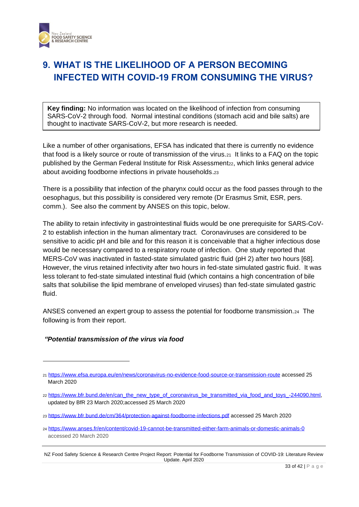

## <span id="page-32-0"></span>**9. WHAT IS THE LIKELIHOOD OF A PERSON BECOMING INFECTED WITH COVID-19 FROM CONSUMING THE VIRUS?**

**Key finding:** No information was located on the likelihood of infection from consuming SARS-CoV-2 through food. Normal intestinal conditions (stomach acid and bile salts) are thought to inactivate SARS-CoV-2, but more research is needed.

Like a number of other organisations, EFSA has indicated that there is currently no evidence that food is a likely source or route of transmission of the virus. 21 It links to a FAQ on the topic published by the German Federal Institute for Risk Assessment<sub>22</sub>, which links general advice about avoiding foodborne infections in private households.<sup>23</sup>

There is a possibility that infection of the pharynx could occur as the food passes through to the oesophagus, but this possibility is considered very remote (Dr Erasmus Smit, ESR, pers. comm.). See also the comment by ANSES on this topic, below.

The ability to retain infectivity in gastrointestinal fluids would be one prerequisite for SARS-CoV-2 to establish infection in the human alimentary tract. Coronaviruses are considered to be sensitive to acidic pH and bile and for this reason it is conceivable that a higher infectious dose would be necessary compared to a respiratory route of infection. One study reported that MERS-CoV was inactivated in fasted-state simulated gastric fluid (pH 2) after two hours [68]. However, the virus retained infectivity after two hours in fed-state simulated gastric fluid. It was less tolerant to fed-state simulated intestinal fluid (which contains a high concentration of bile salts that solubilise the lipid membrane of enveloped viruses) than fed-state simulated gastric fluid.

ANSES convened an expert group to assess the potential for foodborne transmission.<sup>24</sup> The following is from their report.

### *"Potential transmission of the virus via food*

<sup>21</sup> <https://www.efsa.europa.eu/en/news/coronavirus-no-evidence-food-source-or-transmission-route> accessed 25 March 2020

<sup>22</sup> [https://www.bfr.bund.de/en/can\\_the\\_new\\_type\\_of\\_coronavirus\\_be\\_transmitted\\_via\\_food\\_and\\_toys\\_-244090.html,](https://www.bfr.bund.de/en/can_the_new_type_of_coronavirus_be_transmitted_via_food_and_toys_-244090.html) updated by BfR 23 March 2020;accessed 25 March 2020

<sup>23</sup> <https://www.bfr.bund.de/cm/364/protection-against-foodborne-infections.pdf> accessed 25 March 2020

<sup>24</sup> <https://www.anses.fr/en/content/covid-19-cannot-be-transmitted-either-farm-animals-or-domestic-animals-0> accessed 20 March 2020

NZ Food Safety Science & Research Centre Project Report: Potential for Foodborne Transmission of COVID-19: Literature Review Update. April 2020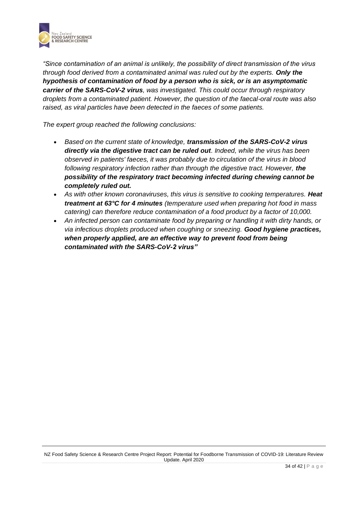

*"Since contamination of an animal is unlikely, the possibility of direct transmission of the virus through food derived from a contaminated animal was ruled out by the experts. Only the hypothesis of contamination of food by a person who is sick, or is an asymptomatic carrier of the SARS-CoV-2 virus, was investigated. This could occur through respiratory droplets from a contaminated patient. However, the question of the faecal-oral route was also raised, as viral particles have been detected in the faeces of some patients.*

*The expert group reached the following conclusions:*

- *Based on the current state of knowledge, transmission of the SARS-CoV-2 virus directly via the digestive tract can be ruled out. Indeed, while the virus has been observed in patients' faeces, it was probably due to circulation of the virus in blood following respiratory infection rather than through the digestive tract. However, the possibility of the respiratory tract becoming infected during chewing cannot be completely ruled out.*
- *As with other known coronaviruses, this virus is sensitive to cooking temperatures. Heat treatment at 63°C for 4 minutes (temperature used when preparing hot food in mass catering) can therefore reduce contamination of a food product by a factor of 10,000.*
- *An infected person can contaminate food by preparing or handling it with dirty hands, or via infectious droplets produced when coughing or sneezing. Good hygiene practices, when properly applied, are an effective way to prevent food from being contaminated with the SARS-CoV-2 virus"*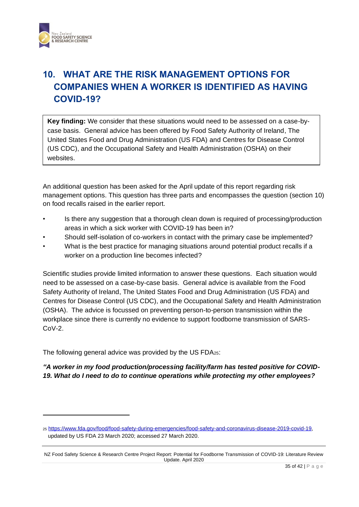

# <span id="page-34-0"></span>**10. WHAT ARE THE RISK MANAGEMENT OPTIONS FOR COMPANIES WHEN A WORKER IS IDENTIFIED AS HAVING COVID-19?**

**Key finding:** We consider that these situations would need to be assessed on a case-bycase basis. General advice has been offered by Food Safety Authority of Ireland, The United States Food and Drug Administration (US FDA) and Centres for Disease Control (US CDC), and the Occupational Safety and Health Administration (OSHA) on their websites.

An additional question has been asked for the April update of this report regarding risk management options. This question has three parts and encompasses the question (section 10) on food recalls raised in the earlier report.

- Is there any suggestion that a thorough clean down is required of processing/production areas in which a sick worker with COVID-19 has been in?
- Should self-isolation of co-workers in contact with the primary case be implemented?
- What is the best practice for managing situations around potential product recalls if a worker on a production line becomes infected?

Scientific studies provide limited information to answer these questions. Each situation would need to be assessed on a case-by-case basis. General advice is available from the Food Safety Authority of Ireland, The United States Food and Drug Administration (US FDA) and Centres for Disease Control (US CDC), and the Occupational Safety and Health Administration (OSHA). The advice is focussed on preventing person-to-person transmission within the workplace since there is currently no evidence to support foodborne transmission of SARS-CoV-2.

The following general advice was provided by the US FDA25:

*"A worker in my food production/processing facility/farm has tested positive for COVID-19. What do I need to do to continue operations while protecting my other employees?*

<sup>25</sup> [https://www.fda.gov/food/food-safety-during-emergencies/food-safety-and-coronavirus-disease-2019-covid-19,](https://www.fda.gov/food/food-safety-during-emergencies/food-safety-and-coronavirus-disease-2019-covid-19) updated by US FDA 23 March 2020; accessed 27 March 2020.

NZ Food Safety Science & Research Centre Project Report: Potential for Foodborne Transmission of COVID-19: Literature Review Update. April 2020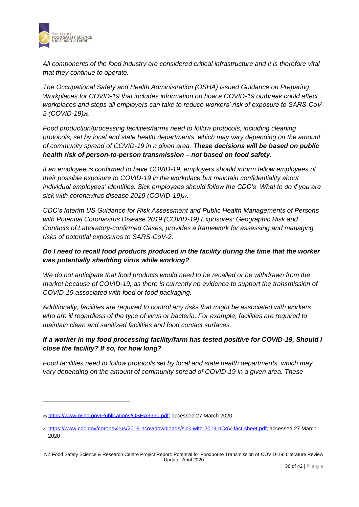

*All components of the food industry are considered critical infrastructure and it is therefore vital that they continue to operate.*

*The Occupational Safety and Health Administration (OSHA) issued Guidance on Preparing Workplaces for COVID-19 that includes information on how a COVID-19 outbreak could affect workplaces and steps all employers can take to reduce workers' risk of exposure to SARS-CoV-2 (COVID-19)26.*

*Food production/processing facilities/farms need to follow protocols, including cleaning protocols, set by local and state health departments, which may vary depending on the amount of community spread of COVID-19 in a given area. These decisions will be based on public health risk of person-to-person transmission – not based on food safety.* 

*If an employee is confirmed to have COVID-19, employers should inform fellow employees of their possible exposure to COVID-19 in the workplace but maintain confidentiality about individual employees' identities. Sick employees should follow the CDC's What to do if you are sick with coronavirus disease 2019 (COVID-19)27.*

*CDC's Interim US Guidance for Risk Assessment and Public Health Managements of Persons with Potential Coronavirus Disease 2019 (COVID-19) Exposures: Geographic Risk and Contacts of Laboratory-confirmed Cases, provides a framework for assessing and managing risks of potential exposures to SARS-CoV-2.* 

### *Do I need to recall food products produced in the facility during the time that the worker was potentially shedding virus while working?*

*We do not anticipate that food products would need to be recalled or be withdrawn from the market because of COVID-19, as there is currently no evidence to support the transmission of COVID-19 associated with food or food packaging.* 

*Additionally, facilities are required to control any risks that might be associated with workers who are ill regardless of the type of virus or bacteria. For example, facilities are required to maintain clean and sanitized facilities and food contact surfaces.*

### *If a worker in my food processing facility/farm has tested positive for COVID-19, Should I close the facility? If so, for how long?*

*Food facilities need to follow protocols set by local and state health departments, which may vary depending on the amount of community spread of COVID-19 in a given area. These* 

<sup>26</sup> [https://www.osha.gov/Publications/OSHA3990.pdf;](https://www.osha.gov/Publications/OSHA3990.pdf) accessed 27 March 2020

<sup>27</sup> [https://www.cdc.gov/coronavirus/2019-ncov/downloads/sick-with-2019-nCoV-fact-sheet.pdf;](https://www.cdc.gov/coronavirus/2019-ncov/downloads/sick-with-2019-nCoV-fact-sheet.pdf) accessed 27 March 2020

NZ Food Safety Science & Research Centre Project Report: Potential for Foodborne Transmission of COVID-19: Literature Review Update. April 2020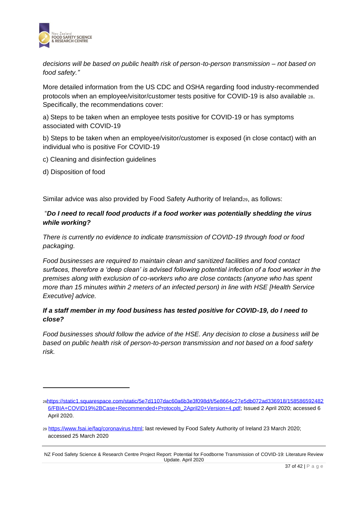

*decisions will be based on public health risk of person-to-person transmission – not based on food safety."*

More detailed information from the US CDC and OSHA regarding food industry-recommended protocols when an employee/visitor/customer tests positive for COVID-19 is also available <sup>28</sup>. Specifically, the recommendations cover:

a) Steps to be taken when an employee tests positive for COVID-19 or has symptoms associated with COVID-19

b) Steps to be taken when an employee/visitor/customer is exposed (in close contact) with an individual who is positive For COVID-19

- c) Cleaning and disinfection guidelines
- d) Disposition of food

Similar advice was also provided by Food Safety Authority of Ireland<sub>29</sub>, as follows:

### "*Do I need to recall food products if a food worker was potentially shedding the virus while working?*

*There is currently no evidence to indicate transmission of COVID-19 through food or food packaging.* 

*Food businesses are required to maintain clean and sanitized facilities and food contact surfaces, therefore a 'deep clean' is advised following potential infection of a food worker in the premises along with exclusion of co-workers who are close contacts (anyone who has spent more than 15 minutes within 2 meters of an infected person) in line with HSE [Health Service Executive] advice.*

### *If a staff member in my food business has tested positive for COVID-19, do I need to close?*

*Food businesses should follow the advice of the HSE. Any decision to close a business will be based on public health risk of person-to-person transmission and not based on a food safety risk.*

<sup>28</sup>[https://static1.squarespace.com/static/5e7d1107dac60a6b3e3f098d/t/5e8664c27e5db072ad336918/158586592482](https://static1.squarespace.com/static/5e7d1107dac60a6b3e3f098d/t/5e8664c27e5db072ad336918/1585865924826/FBIA+COVID19%2BCase+Recommended+Protocols_2April20+Version+4.pdf) [6/FBIA+COVID19%2BCase+Recommended+Protocols\\_2April20+Version+4.pdf;](https://static1.squarespace.com/static/5e7d1107dac60a6b3e3f098d/t/5e8664c27e5db072ad336918/1585865924826/FBIA+COVID19%2BCase+Recommended+Protocols_2April20+Version+4.pdf) Issued 2 April 2020; accessed 6 April 2020.

<sup>29</sup> [https://www.fsai.ie/faq/coronavirus.html;](https://www.fsai.ie/faq/coronavirus.html) last reviewed by Food Safety Authority of Ireland 23 March 2020; accessed 25 March 2020

NZ Food Safety Science & Research Centre Project Report: Potential for Foodborne Transmission of COVID-19: Literature Review Update. April 2020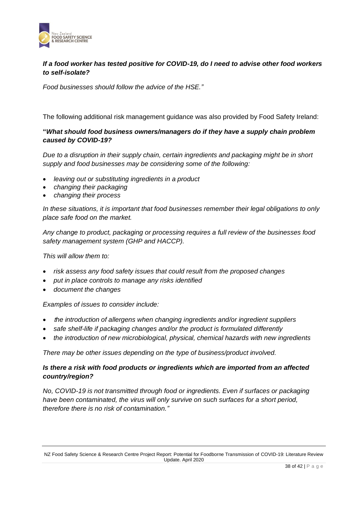

### *If a food worker has tested positive for COVID-19, do I need to advise other food workers to self-isolate?*

*Food businesses should follow the advice of the HSE."*

The following additional risk management guidance was also provided by Food Safety Ireland:

### **"***What should food business owners/managers do if they have a supply chain problem caused by COVID-19?*

*Due to a disruption in their supply chain, certain ingredients and packaging might be in short supply and food businesses may be considering some of the following:*

- *leaving out or substituting ingredients in a product*
- *changing their packaging*
- *changing their process*

*In these situations, it is important that food businesses remember their legal obligations to only place safe food on the market.* 

*Any change to product, packaging or processing requires a full review of the businesses food safety management system (GHP and HACCP).* 

*This will allow them to:*

- *risk assess any food safety issues that could result from the proposed changes*
- *put in place controls to manage any risks identified*
- *document the changes*

*Examples of issues to consider include:*

- <sup>t</sup>*he introduction of allergens when changing ingredients and/or ingredient suppliers*
- *safe shelf-life if packaging changes and/or the product is formulated differently*
- *the introduction of new microbiological, physical, chemical hazards with new ingredients*

*There may be other issues depending on the type of business/product involved.*

### *Is there a risk with food products or ingredients which are imported from an affected country/region?*

*No, COVID-19 is not transmitted through food or ingredients. Even if surfaces or packaging have been contaminated, the virus will only survive on such surfaces for a short period, therefore there is no risk of contamination."*

NZ Food Safety Science & Research Centre Project Report: Potential for Foodborne Transmission of COVID-19: Literature Review Update. April 2020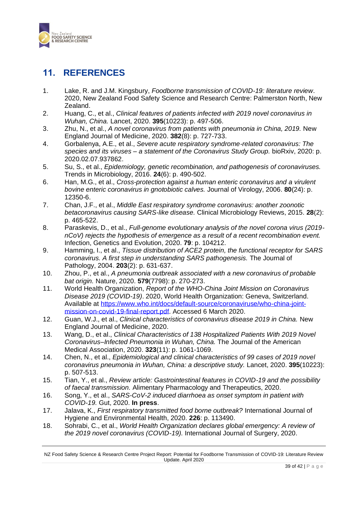

## <span id="page-38-0"></span>**11. REFERENCES**

- 1. Lake, R. and J.M. Kingsbury, *Foodborne transmission of COVID-19: literature review*. 2020, New Zealand Food Safety Science and Research Centre: Palmerston North, New Zealand.
- 2. Huang, C., et al., *Clinical features of patients infected with 2019 novel coronavirus in Wuhan, China.* Lancet, 2020. **395**(10223): p. 497-506.
- 3. Zhu, N., et al., *A novel coronavirus from patients with pneumonia in China, 2019.* New England Journal of Medicine, 2020. **382**(8): p. 727-733.
- 4. Gorbalenya, A.E., et al., *Severe acute respiratory syndrome-related coronavirus: The species and its viruses – a statement of the Coronavirus Study Group.* bioRxiv, 2020: p. 2020.02.07.937862.
- 5. Su, S., et al., *Epidemiology, genetic recombination, and pathogenesis of coronaviruses.* Trends in Microbiology, 2016. **24**(6): p. 490-502.
- 6. Han, M.G., et al., *Cross-protection against a human enteric coronavirus and a virulent bovine enteric coronavirus in gnotobiotic calves.* Journal of Virology, 2006. **80**(24): p. 12350-6.
- 7. Chan, J.F., et al., *Middle East respiratory syndrome coronavirus: another zoonotic betacoronavirus causing SARS-like disease.* Clinical Microbiology Reviews, 2015. **28**(2): p. 465-522.
- 8. Paraskevis, D., et al., *Full-genome evolutionary analysis of the novel corona virus (2019 nCoV) rejects the hypothesis of emergence as a result of a recent recombination event.* Infection, Genetics and Evolution, 2020. **79**: p. 104212.
- 9. Hamming, I., et al., *Tissue distribution of ACE2 protein, the functional receptor for SARS coronavirus. A first step in understanding SARS pathogenesis.* The Journal of Pathology, 2004. **203**(2): p. 631-637.
- 10. Zhou, P., et al., *A pneumonia outbreak associated with a new coronavirus of probable bat origin.* Nature, 2020. **579**(7798): p. 270-273.
- 11. World Health Organization, *Report of the WHO-China Joint Mission on Coronavirus Disease 2019 (COVID-19)*. 2020, World Health Organization: Geneva, Switzerland. Available at [https://www.who.int/docs/default-source/coronaviruse/who-china-joint](https://www.who.int/docs/default-source/coronaviruse/who-china-joint-mission-on-covid-19-final-report.pdf)[mission-on-covid-19-final-report.pdf.](https://www.who.int/docs/default-source/coronaviruse/who-china-joint-mission-on-covid-19-final-report.pdf) Accessed 6 March 2020.
- 12. Guan, W.J., et al., *Clinical characteristics of coronavirus disease 2019 in China.* New England Journal of Medicine, 2020.
- 13. Wang, D., et al., *Clinical Characteristics of 138 Hospitalized Patients With 2019 Novel Coronavirus–Infected Pneumonia in Wuhan, China.* The Journal of the American Medical Association, 2020. **323**(11): p. 1061-1069.
- 14. Chen, N., et al., *Epidemiological and clinical characteristics of 99 cases of 2019 novel coronavirus pneumonia in Wuhan, China: a descriptive study.* Lancet, 2020. **395**(10223): p. 507-513.
- 15. Tian, Y., et al., *Review article: Gastrointestinal features in COVID-19 and the possibility of faecal transmission.* Alimentary Pharmacology and Therapeutics, 2020.
- 16. Song, Y., et al., *SARS-CoV-2 induced diarrhoea as onset symptom in patient with COVID-19.* Gut, 2020. **In press**.
- 17. Jalava, K., *First respiratory transmitted food borne outbreak?* International Journal of Hygiene and Environmental Health, 2020. **226**: p. 113490.
- 18. Sohrabi, C., et al., *World Health Organization declares global emergency: A review of the 2019 novel coronavirus (COVID-19).* International Journal of Surgery, 2020.

NZ Food Safety Science & Research Centre Project Report: Potential for Foodborne Transmission of COVID-19: Literature Review Update. April 2020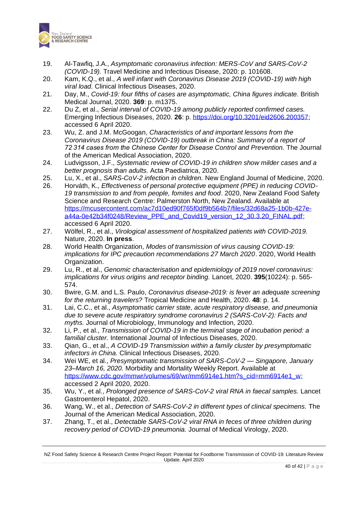

- 19. Al-Tawfiq, J.A., *Asymptomatic coronavirus infection: MERS-CoV and SARS-CoV-2 (COVID-19).* Travel Medicine and Infectious Disease, 2020: p. 101608.
- 20. Kam, K.Q., et al., *A well infant with Coronavirus Disease 2019 (COVID-19) with high viral load.* Clinical Infectious Diseases, 2020.
- 21. Day, M., *Covid-19: four fifths of cases are asymptomatic, China figures indicate.* British Medical Journal, 2020. **369**: p. m1375.
- 22. Du Z, et al., *Serial interval of COVID-19 among publicly reported confirmed cases.* Emerging Infectious Diseases, 2020. **26**: p[. https://doi.org/10.3201/eid2606.200357;](https://doi.org/10.3201/eid2606.200357) accessed 6 April 2020.
- 23. Wu, Z. and J.M. McGoogan, *Characteristics of and important lessons from the Coronavirus Disease 2019 (COVID-19) outbreak in China: Summary of a report of 72 314 cases from the Chinese Center for Disease Control and Prevention.* The Journal of the American Medical Association, 2020.
- 24. Ludvigsson, J.F., *Systematic review of COVID-19 in children show milder cases and a better prognosis than adults.* Acta Paediatrica, 2020.
- 25. Lu, X., et al., *SARS-CoV-2 infection in children.* New England Journal of Medicine, 2020.
- 26. Horváth, K., *Effectiveness of personal protective equipment (PPE) in reducing COVID-19 transmission to and from people, fomites and food*. 2020, New Zealand Food Safety Science and Research Centre: Palmerston North, New Zealand. Available at [https://mcusercontent.com/ac7d10ed90f765f0df9b564b7/files/32d68a25-1b0b-427e](https://mcusercontent.com/ac7d10ed90f765f0df9b564b7/files/32d68a25-1b0b-427e-a44a-0e42b34f0248/Review_PPE_and_Covid19_version_12_30.3.20_FINAL.pdf)[a44a-0e42b34f0248/Review\\_PPE\\_and\\_Covid19\\_version\\_12\\_30.3.20\\_FINAL.pdf;](https://mcusercontent.com/ac7d10ed90f765f0df9b564b7/files/32d68a25-1b0b-427e-a44a-0e42b34f0248/Review_PPE_and_Covid19_version_12_30.3.20_FINAL.pdf) accessed 6 April 2020.
- 27. Wölfel, R., et al., *Virological assessment of hospitalized patients with COVID-2019.* Nature, 2020. **In press**.
- 28. World Health Organization, *Modes of transmission of virus causing COVID-19: implications for IPC precaution recommendations 27 March 2020*. 2020, World Health Organization.
- 29. Lu, R., et al., *Genomic characterisation and epidemiology of 2019 novel coronavirus: implications for virus origins and receptor binding.* Lancet, 2020. **395**(10224): p. 565- 574.
- 30. Bwire, G.M. and L.S. Paulo, *Coronavirus disease-2019: is fever an adequate screening for the returning travelers?* Tropical Medicine and Health, 2020. **48**: p. 14.
- 31. Lai, C.C., et al., *Asymptomatic carrier state, acute respiratory disease, and pneumonia due to severe acute respiratory syndrome coronavirus 2 (SARS-CoV-2): Facts and myths.* Journal of Microbiology, Immunology and Infection, 2020.
- 32. Li, P., et al., *Transmission of COVID-19 in the terminal stage of incubation period: a familial cluster.* International Journal of Infectious Diseases, 2020.
- 33. Qian, G., et al., *A COVID-19 Transmission within a family cluster by presymptomatic infectors in China.* Clinical Infectious Diseases, 2020.
- 34. Wei WE, et al., *Presymptomatic transmission of SARS-CoV-2 — Singapore, January 23–March 16, 2020.* Morbidity and Mortality Weekly Report. Available at [https://www.cdc.gov/mmwr/volumes/69/wr/mm6914e1.htm?s\\_cid=mm6914e1\\_w;](https://www.cdc.gov/mmwr/volumes/69/wr/mm6914e1.htm?s_cid=mm6914e1_w) accessed 2 April 2020, 2020.
- 35. Wu, Y., et al., *Prolonged presence of SARS-CoV-2 viral RNA in faecal samples.* Lancet Gastroenterol Hepatol, 2020.
- 36. Wang, W., et al., *Detection of SARS-CoV-2 in different types of clinical specimens.* The Journal of the American Medical Association, 2020.
- 37. Zhang, T., et al., *Detectable SARS-CoV-2 viral RNA in feces of three children during recovery period of COVID-19 pneumonia.* Journal of Medical Virology, 2020.

NZ Food Safety Science & Research Centre Project Report: Potential for Foodborne Transmission of COVID-19: Literature Review Update. April 2020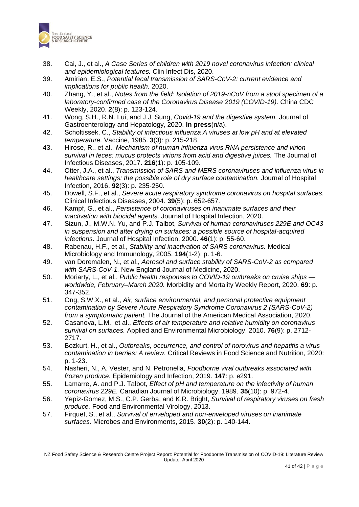

- 38. Cai, J., et al., *A Case Series of children with 2019 novel coronavirus infection: clinical and epidemiological features.* Clin Infect Dis, 2020.
- 39. Amirian, E.S., *Potential fecal transmission of SARS-CoV-2: current evidence and implications for public health.* 2020.
- 40. Zhang, Y., et al., *Notes from the field: Isolation of 2019-nCoV from a stool specimen of a laboratory-confirmed case of the Coronavirus Disease 2019 (COVID-19).* China CDC Weekly, 2020. **2**(8): p. 123-124.
- 41. Wong, S.H., R.N. Lui, and J.J. Sung, *Covid-19 and the digestive system.* Journal of Gastroenterology and Hepatology, 2020. **In press**(n/a).
- 42. Scholtissek, C., *Stability of infectious influenza A viruses at low pH and at elevated temperature.* Vaccine, 1985. **3**(3): p. 215-218.
- 43. Hirose, R., et al., *Mechanism of human influenza virus RNA persistence and virion survival in feces: mucus protects virions from acid and digestive juices.* The Journal of Infectious Diseases, 2017. **216**(1): p. 105-109.
- 44. Otter, J.A., et al., *Transmission of SARS and MERS coronaviruses and influenza virus in healthcare settings: the possible role of dry surface contamination.* Journal of Hospital Infection, 2016. **92**(3): p. 235-250.
- 45. Dowell, S.F., et al., *Severe acute respiratory syndrome coronavirus on hospital surfaces.* Clinical Infectious Diseases, 2004. **39**(5): p. 652-657.
- 46. Kampf, G., et al., *Persistence of coronaviruses on inanimate surfaces and their inactivation with biocidal agents.* Journal of Hospital Infection, 2020.
- 47. Sizun, J., M.W.N. Yu, and P.J. Talbot, *Survival of human coronaviruses 229E and OC43 in suspension and after drying on surfaces: a possible source of hospital-acquired infections.* Journal of Hospital Infection, 2000. **46**(1): p. 55-60.
- 48. Rabenau, H.F., et al., *Stability and inactivation of SARS coronavirus.* Medical Microbiology and Immunology, 2005. **194**(1-2): p. 1-6.
- 49. van Doremalen, N., et al., *Aerosol and surface stability of SARS-CoV-2 as compared with SARS-CoV-1.* New England Journal of Medicine, 2020.
- 50. Moriarty, L., et al., *Public health responses to COVID-19 outbreaks on cruise ships worldwide, February–March 2020.* Morbidity and Mortality Weekly Report, 2020. **69**: p. 347-352.
- 51. Ong, S.W.X., et al., *Air, surface environmental, and personal protective equipment contamination by Severe Acute Respiratory Syndrome Coronavirus 2 (SARS-CoV-2) from a symptomatic patient.* The Journal of the American Medical Association, 2020.
- 52. Casanova, L.M., et al., *Effects of air temperature and relative humidity on coronavirus survival on surfaces.* Applied and Environmental Microbiology, 2010. **76**(9): p. 2712- 2717.
- 53. Bozkurt, H., et al., *Outbreaks, occurrence, and control of norovirus and hepatitis a virus contamination in berries: A review.* Critical Reviews in Food Science and Nutrition, 2020: p. 1-23.
- 54. Nasheri, N., A. Vester, and N. Petronella, *Foodborne viral outbreaks associated with frozen produce.* Epidemiology and Infection, 2019. **147**: p. e291.
- 55. Lamarre, A. and P.J. Talbot, *Effect of pH and temperature on the infectivity of human coronavirus 229E.* Canadian Journal of Microbiology, 1989. **35**(10): p. 972-4.
- 56. Yepiz-Gomez, M.S., C.P. Gerba, and K.R. Bright, *Survival of respiratory viruses on fresh produce.* Food and Environmental Virology, 2013.
- 57. Firquet, S., et al., *Survival of enveloped and non-enveloped viruses on inanimate surfaces.* Microbes and Environments, 2015. **30**(2): p. 140-144.